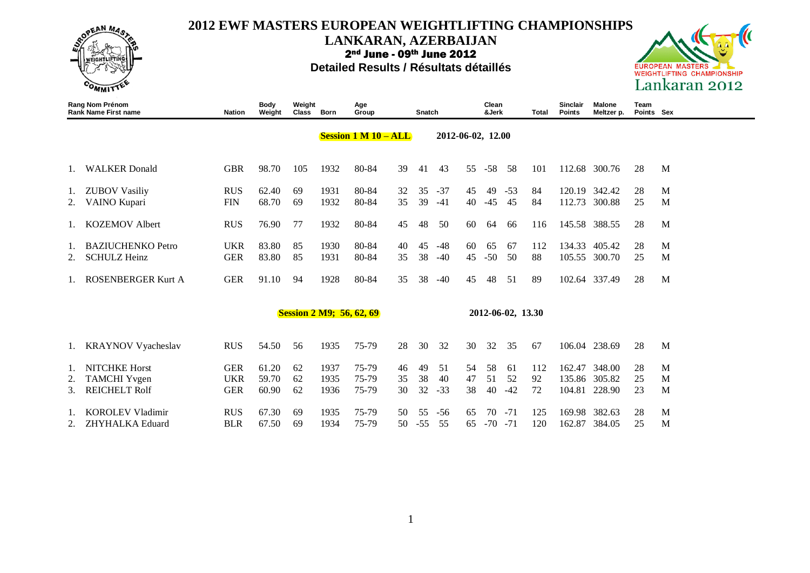

**LANKARAN, AZERBAIJAN**

2nd June - 09th June 2012





|    | Rang Nom Prénom<br><b>Rank Name First name</b> | Nation     | Body<br>Weight | Weight<br><b>Class</b> | <b>Born</b> | Age<br>Group                    |    | Snatch |       |                   | Clean<br>&Jerk |                   | Total | Sinclair<br><b>Points</b> | <b>Malone</b><br>Meltzer p. | Team<br>Points Sex |   |
|----|------------------------------------------------|------------|----------------|------------------------|-------------|---------------------------------|----|--------|-------|-------------------|----------------|-------------------|-------|---------------------------|-----------------------------|--------------------|---|
|    |                                                |            |                |                        |             | <b>Session 1 M 10 – ALL</b>     |    |        |       | 2012-06-02, 12.00 |                |                   |       |                           |                             |                    |   |
| 1. | <b>WALKER</b> Donald                           | <b>GBR</b> | 98.70          | 105                    | 1932        | 80-84                           | 39 | 41     | 43    | 55                | $-58$          | 58                | 101   |                           | 112.68 300.76               | 28                 | M |
| 1. | <b>ZUBOV Vasiliy</b>                           | <b>RUS</b> | 62.40          | 69                     | 1931        | 80-84                           | 32 | 35     | $-37$ | 45                | 49             | $-53$             | 84    | 120.19                    | 342.42                      | 28                 | M |
| 2. | VAINO Kupari                                   | <b>FIN</b> | 68.70          | 69                     | 1932        | 80-84                           | 35 | 39     | $-41$ | 40                | $-45$          | -45               | 84    | 112.73                    | 300.88                      | 25                 | M |
| 1. | <b>KOZEMOV Albert</b>                          | <b>RUS</b> | 76.90          | 77                     | 1932        | 80-84                           | 45 | 48     | 50    | 60                | 64             | 66                | 116   | 145.58                    | 388.55                      | 28                 | M |
|    | <b>BAZIUCHENKO Petro</b>                       | <b>UKR</b> | 83.80          | 85                     | 1930        | 80-84                           | 40 | 45     | $-48$ | 60                | 65             | 67                | 112   | 134.33                    | 405.42                      | 28                 | M |
| 2. | <b>SCHULZ Heinz</b>                            | <b>GER</b> | 83.80          | 85                     | 1931        | 80-84                           | 35 | 38     | $-40$ | 45                | $-50$          | 50                | 88    | 105.55                    | 300.70                      | 25                 | M |
|    | <b>ROSENBERGER Kurt A</b>                      | <b>GER</b> | 91.10          | 94                     | 1928        | 80-84                           | 35 | 38     | $-40$ | 45                | 48             | 51                | 89    | 102.64                    | 337.49                      | 28                 | M |
|    |                                                |            |                |                        |             | <b>Session 2 M9; 56, 62, 69</b> |    |        |       |                   |                | 2012-06-02, 13.30 |       |                           |                             |                    |   |
| 1. | <b>KRAYNOV Vyacheslav</b>                      | <b>RUS</b> | 54.50          | 56                     | 1935        | 75-79                           | 28 | 30     | 32    | 30                | 32             | 35                | 67    |                           | 106.04 238.69               | 28                 | M |
| 1. | <b>NITCHKE Horst</b>                           | <b>GER</b> | 61.20          | 62                     | 1937        | 75-79                           | 46 | 49     | 51    | 54                | 58             | 61                | 112   | 162.47                    | 348.00                      | 28                 | M |
| 2. | <b>TAMCHI</b> Yvgen                            | <b>UKR</b> | 59.70          | 62                     | 1935        | 75-79                           | 35 | 38     | 40    | 47                | 51             | 52                | 92    | 135.86                    | 305.82                      | 25                 | M |
| 3. | <b>REICHELT Rolf</b>                           | <b>GER</b> | 60.90          | 62                     | 1936        | 75-79                           | 30 | 32     | $-33$ | 38                | 40             | $-42$             | 72    | 104.81                    | 228.90                      | 23                 | M |
|    | <b>KOROLEV Vladimir</b>                        | <b>RUS</b> | 67.30          | 69                     | 1935        | 75-79                           | 50 | 55     | $-56$ | 65                | 70             | $-71$             | 125   | 169.98                    | 382.63                      | 28                 | M |
| 2. | <b>ZHYHALKA Eduard</b>                         | <b>BLR</b> | 67.50          | 69                     | 1934        | 75-79                           | 50 | $-55$  | 55    | 65                | $-70$          | $-71$             | 120   | 162.87                    | 384.05                      | 25                 | M |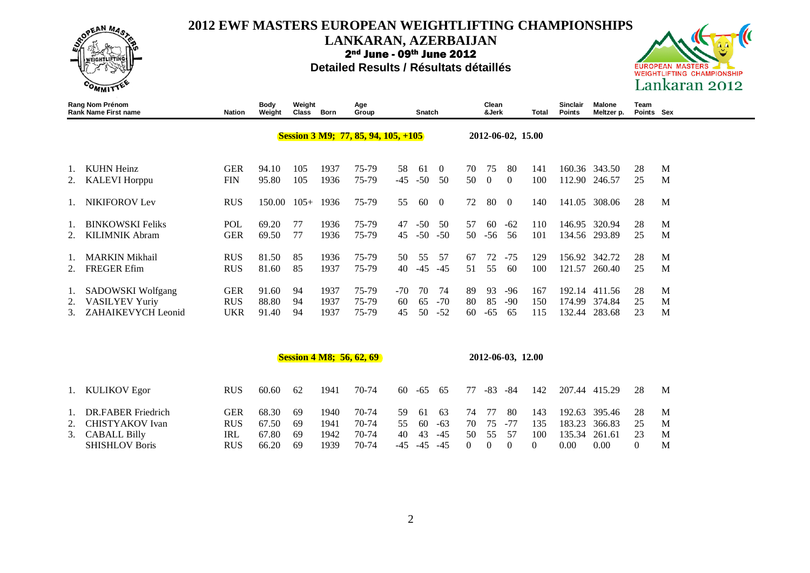

### **LANKARAN, AZERBAIJAN**

2nd June - 09th June 2012



|          | Rang Nom Prénom<br><b>Rank Name First name</b>                      | <b>Nation</b>                   | <b>Body</b><br>Weight   | Weight<br>Class | Born                 | Age<br>Group                          |                   | Snatch         |                      |                | Clean<br>&Jerk    |                    | <b>Total</b>      | <b>Sinclair</b><br><b>Points</b> | <b>Malone</b><br>Meltzer p. | Team<br>Points Sex |             |
|----------|---------------------------------------------------------------------|---------------------------------|-------------------------|-----------------|----------------------|---------------------------------------|-------------------|----------------|----------------------|----------------|-------------------|--------------------|-------------------|----------------------------------|-----------------------------|--------------------|-------------|
|          |                                                                     |                                 |                         |                 |                      | Session 3 M9; 77, 85, 94, 105, $+105$ |                   |                |                      |                |                   | 2012-06-02, 15.00  |                   |                                  |                             |                    |             |
|          | <b>KUHN Heinz</b><br><b>KALEVI Horppu</b>                           | <b>GER</b><br><b>FIN</b>        | 94.10<br>95.80          | 105<br>105      | 1937<br>1936         | 75-79<br>75-79                        | 58<br>-45         | -61<br>$-50$   | $\Omega$<br>50       | 70<br>50       | 75<br>$\Omega$    | -80<br>$\Omega$    | 141<br>100        | 160.36<br>112.90                 | 343.50<br>246.57            | 28<br>25           | M<br>M      |
|          | <b>NIKIFOROV Lev</b>                                                | <b>RUS</b>                      | 150.00                  | $105+$          | 1936                 | 75-79                                 | 55                | 60             | $\Omega$             | 72             | 80                | $\Omega$           | 140               | 141.05                           | 308.06                      | 28                 | M           |
|          | <b>BINKOWSKI Feliks</b><br><b>KILIMNIK Abram</b>                    | POL<br><b>GER</b>               | 69.20<br>69.50          | 77<br>77        | 1936<br>1936         | 75-79<br>75-79                        | 47<br>45          | $-50$<br>$-50$ | 50<br>$-50$          | 57<br>50       | 60<br>$-56$       | $-62$<br>56        | 110<br>101        | 146.95<br>134.56                 | 320.94<br>293.89            | 28<br>25           | M<br>M      |
|          | <b>MARKIN Mikhail</b><br><b>FREGER Efim</b>                         | <b>RUS</b><br><b>RUS</b>        | 81.50<br>81.60          | 85<br>85        | 1936<br>1937         | 75-79<br>75-79                        | 50<br>40          | 55<br>$-45$    | 57<br>$-45$          | 67<br>51       | 72<br>55          | $-75$<br>60        | 129<br>100        | 156.92<br>121.57                 | 342.72<br>260.40            | 28<br>25           | M<br>M      |
| Ι.<br>2. | SADOWSKI Wolfgang<br><b>VASILYEV Yuriy</b><br>3. ZAHAIKEVYCH Leonid | <b>GER</b><br><b>RUS</b><br>UKR | 91.60<br>88.80<br>91.40 | 94<br>94<br>94  | 1937<br>1937<br>1937 | 75-79<br>75-79<br>75-79               | $-70$<br>60<br>45 | 70<br>65<br>50 | 74<br>$-70$<br>$-52$ | 89<br>80<br>60 | 93<br>85<br>$-65$ | -96<br>$-90$<br>65 | 167<br>150<br>115 | 192.14<br>174.99<br>132.44       | 411.56<br>374.84<br>283.68  | 28<br>25<br>23     | M<br>M<br>M |

|                       |            |       |     |      | <b>Session 4 M8; 56, 62, 69</b> |     |       |       |    |     | 2012-06-03, 12.00 |     |        |               |    |   |
|-----------------------|------------|-------|-----|------|---------------------------------|-----|-------|-------|----|-----|-------------------|-----|--------|---------------|----|---|
| 1. KULIKOV Egor       | <b>RUS</b> | 60.60 | 62  | 1941 | 70-74                           | -60 | -65   | -65   | 77 | -83 | -84               | 142 | 207.44 | 415.29        | 28 | M |
| 1. DR.FABER Friedrich | GER        | 68.30 | 69  | 1940 | 70-74                           | 59  | -61   | -63   | 74 | -77 | 80                | 143 |        | 192.63 395.46 | 28 | M |
| 2. CHISTYAKOV Ivan    | <b>RUS</b> | 67.50 | -69 | 1941 | 70-74                           | 55  | 60    | $-63$ | 70 | 75  |                   | 135 | 183.23 | 366.83        | 25 | M |
| 3. CABALL Billy       | IRL        | 67.80 | -69 | 1942 | 70-74                           | 40  | 43    | $-45$ | 50 | 55  | 57                | 100 | 135.34 | 261.61        | 23 | M |
| <b>SHISHLOV Boris</b> | <b>RUS</b> | 66.20 | -69 | 1939 | 70-74                           | -45 | $-45$ | $-45$ |    |     |                   |     | 0.00   | 0.00          |    | М |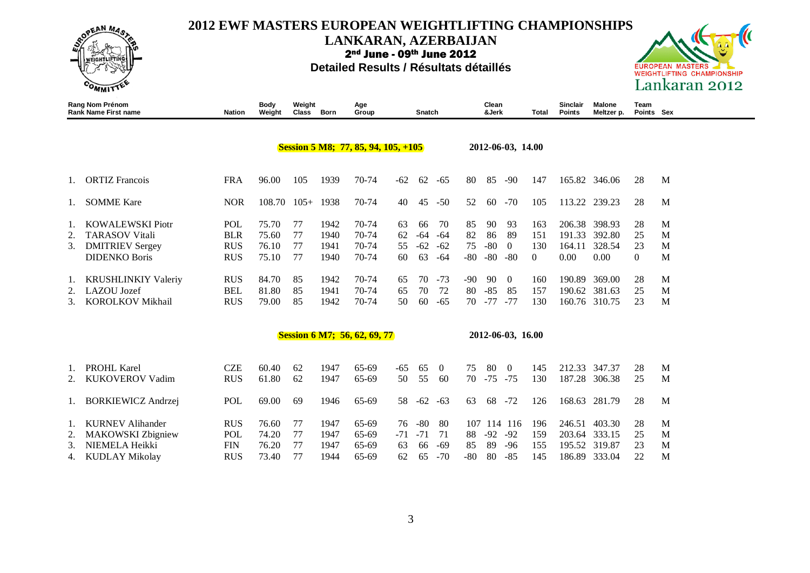

**LANKARAN, AZERBAIJAN**

2nd June - 09th June 2012





|    | Rang Nom Prénom<br><b>Rank Name First name</b> | <b>Nation</b> | Body<br>Weight | Weight<br><b>Class</b> | <b>Born</b> | Age<br>Group                          |       | Snatch |                |        | Clean<br>&Jerk |                   | Total    | Sinclair<br><b>Points</b> | Malone<br>Meltzer p. | Team<br>Points Sex |   |
|----|------------------------------------------------|---------------|----------------|------------------------|-------------|---------------------------------------|-------|--------|----------------|--------|----------------|-------------------|----------|---------------------------|----------------------|--------------------|---|
|    |                                                |               |                |                        |             | Session 5 M8; 77, 85, 94, 105, $+105$ |       |        |                |        |                | 2012-06-03, 14.00 |          |                           |                      |                    |   |
| Ι. | <b>ORTIZ Francois</b>                          | <b>FRA</b>    | 96.00          | 105                    | 1939        | 70-74                                 | $-62$ | 62     | $-65$          | 80     | 85             | $-90$             | 147      |                           | 165.82 346.06        | 28                 | M |
| 1. | <b>SOMME</b> Kare                              | <b>NOR</b>    | 108.70         | $105+$                 | 1938        | 70-74                                 | 40    | 45     | $-50$          | 52     | 60             | $-70$             | 105      |                           | 113.22 239.23        | 28                 | M |
| 1. | <b>KOWALEWSKI Piotr</b>                        | POL           | 75.70          | 77                     | 1942        | 70-74                                 | 63    | 66     | 70             | 85     | 90             | 93                | 163      |                           | 206.38 398.93        | 28                 | M |
| 2. | <b>TARASOV Vitali</b>                          | <b>BLR</b>    | 75.60          | 77                     | 1940        | 70-74                                 | 62    | $-64$  | $-64$          | 82     | 86             | 89                | 151      | 191.33                    | 392.80               | 25                 | M |
| 3. | <b>DMITRIEV Sergey</b>                         | <b>RUS</b>    | 76.10          | 77                     | 1941        | 70-74                                 | 55    | $-62$  | $-62$          | 75     | $-80$          | $\Omega$          | 130      | 164.11                    | 328.54               | 23                 | M |
|    | <b>DIDENKO Boris</b>                           | <b>RUS</b>    | 75.10          | 77                     | 1940        | 70-74                                 | 60    | 63     | -64            | -80    | $-80$          | $-80$             | $\Omega$ | 0.00                      | 0.00                 | $\overline{0}$     | M |
| 1. | <b>KRUSHLINKIY Valeriy</b>                     | <b>RUS</b>    | 84.70          | 85                     | 1942        | 70-74                                 | 65    | 70     | $-73$          | $-90°$ | 90             | $\Omega$          | 160      | 190.89                    | 369.00               | 28                 | M |
|    | LAZOU Jozef                                    | <b>BEL</b>    | 81.80          | 85                     | 1941        | 70-74                                 | 65    | 70     | 72             | 80     | $-85$          | 85                | 157      |                           | 190.62 381.63        | 25                 | M |
| 3. | <b>KOROLKOV Mikhail</b>                        | <b>RUS</b>    | 79.00          | 85                     | 1942        | 70-74                                 | 50    | 60     | $-65$          | 70     | $-77$          | $-77$             | 130      |                           | 160.76 310.75        | 23                 | M |
|    |                                                |               |                |                        |             | <b>Session 6 M7; 56, 62, 69, 77</b>   |       |        |                |        |                | 2012-06-03, 16.00 |          |                           |                      |                    |   |
|    |                                                |               |                |                        |             |                                       |       |        |                |        |                |                   |          |                           |                      |                    |   |
| Ι. | <b>PROHL Karel</b>                             | <b>CZE</b>    | 60.40          | 62                     | 1947        | 65-69                                 | -65   | 65     | $\overline{0}$ | 75     | 80             | $\overline{0}$    | 145      |                           | 212.33 347.37        | 28                 | M |
|    | <b>KUKOVEROV Vadim</b>                         | <b>RUS</b>    | 61.80          | 62                     | 1947        | 65-69                                 | 50    | 55     | 60             | 70     | $-75$          | $-75$             | 130      |                           | 187.28 306.38        | 25                 | M |
| 1. | <b>BORKIEWICZ Andrzej</b>                      | POL           | 69.00          | 69                     | 1946        | 65-69                                 | 58    | $-62$  | $-63$          | 63     | 68             | $-72$             | 126      |                           | 168.63 281.79        | 28                 | M |
| 1. | <b>KURNEV Alihander</b>                        | <b>RUS</b>    | 76.60          | 77                     | 1947        | 65-69                                 | 76    | $-80$  | 80             |        |                | 107 114 116       | 196      | 246.51                    | 403.30               | 28                 | M |
| 2. | <b>MAKOWSKI</b> Zbigniew                       | POL           | 74.20          | 77                     | 1947        | 65-69                                 | $-71$ | $-71$  | 71             | 88     | $-92$          | $-92$             | 159      | 203.64 333.15             |                      | 25                 | M |
| 3. | NIEMELA Heikki                                 | <b>FIN</b>    | 76.20          | 77                     | 1947        | 65-69                                 | 63    | 66     | $-69$          | 85     | 89             | $-96$             | 155      |                           | 195.52 319.87        | 23                 | M |
| 4. | <b>KUDLAY Mikolay</b>                          | <b>RUS</b>    | 73.40          | 77                     | 1944        | 65-69                                 | 62    | 65     | $-70$          | -80    | 80             | $-85$             | 145      |                           | 186.89 333.04        | 22                 | M |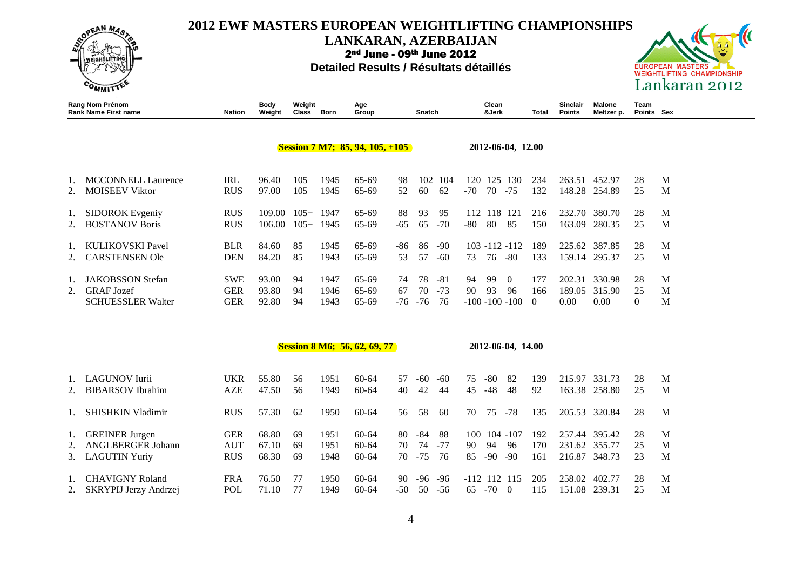

**LANKARAN, AZERBAIJAN**

2nd June - 09th June 2012

#### **Detailed Results / Résultats détaillés**



|                | <b>Rang Nom Prénom</b><br><b>Rank Name First name</b>                     | Nation                                 | <b>Body</b><br>Weight   | Weight<br><b>Class</b> | Born                 | Age<br>Group                        |                   | Snatch             |                      |                 | Clean<br>&Jerk |                                            | Total                  | Sinclair<br><b>Points</b>  | <b>Malone</b><br>Meltzer p. | Team<br>Points Sex   |             |
|----------------|---------------------------------------------------------------------------|----------------------------------------|-------------------------|------------------------|----------------------|-------------------------------------|-------------------|--------------------|----------------------|-----------------|----------------|--------------------------------------------|------------------------|----------------------------|-----------------------------|----------------------|-------------|
|                |                                                                           |                                        |                         |                        |                      | Session 7 M7; 85, 94, 105, $+105$   |                   |                    |                      |                 |                | 2012-06-04, 12.00                          |                        |                            |                             |                      |             |
| 1.<br>2.       | <b>MCCONNELL Laurence</b><br><b>MOISEEV Viktor</b>                        | <b>IRL</b><br><b>RUS</b>               | 96.40<br>97.00          | 105<br>105             | 1945<br>1945         | 65-69<br>65-69                      | 98<br>52          | 102<br>60          | 104<br>62            | 120<br>$-70$    | 70 - 75        | 125 130                                    | 234<br>132             | 263.51<br>148.28           | 452.97<br>254.89            | 28<br>25             | M<br>M      |
| 1.             | <b>SIDOROK</b> Evgeniy<br><b>BOSTANOV Boris</b>                           | <b>RUS</b><br><b>RUS</b>               | 109.00<br>106.00        | $105+$<br>$105+$       | 1947<br>1945         | 65-69<br>65-69                      | 88<br>$-65$       | 93<br>65           | 95<br>$-70$          | 112<br>$-80$    | 80             | 118 121<br>85                              | 216<br>150             | 232.70<br>163.09           | 380.70<br>280.35            | 28<br>25             | M<br>M      |
| 2.             | <b>KULIKOVSKI Pavel</b><br><b>CARSTENSEN Ole</b>                          | <b>BLR</b><br><b>DEN</b>               | 84.60<br>84.20          | 85<br>85               | 1945<br>1943         | 65-69<br>65-69                      | -86<br>53         | 86<br>57           | $-90$<br>$-60$       | 73              | 76 -80         | 103 -112 -112                              | 189<br>133             | 225.62<br>159.14           | 387.85<br>295.37            | 28<br>25             | M<br>M      |
| 1.<br>2.       | <b>JAKOBSSON</b> Stefan<br><b>GRAF</b> Jozef<br><b>SCHUESSLER Walter</b>  | <b>SWE</b><br><b>GER</b><br><b>GER</b> | 93.00<br>93.80<br>92.80 | 94<br>94<br>94         | 1947<br>1946<br>1943 | 65-69<br>65-69<br>65-69             | 74<br>67<br>$-76$ | 78<br>70<br>$-76$  | $-81$<br>$-73$<br>76 | 94<br>90        | 99<br>93       | $\overline{0}$<br>96<br>$-100 - 100 - 100$ | 177<br>166<br>$\theta$ | 202.31<br>189.05<br>0.00   | 330.98<br>315.90<br>0.00    | 28<br>25<br>$\left($ | M<br>M<br>M |
|                |                                                                           |                                        |                         |                        |                      | <b>Session 8 M6; 56, 62, 69, 77</b> |                   |                    |                      |                 |                | 2012-06-04, 14.00                          |                        |                            |                             |                      |             |
| 1.<br>2.       | <b>LAGUNOV</b> Iurii<br><b>BIBARSOV</b> Ibrahim                           | <b>UKR</b><br><b>AZE</b>               | 55.80<br>47.50          | 56<br>56               | 1951<br>1949         | $60 - 64$<br>$60 - 64$              | 57<br>40          | -60<br>42          | $-60$<br>44          | 75<br>45        | $-80$<br>$-48$ | -82<br>48                                  | 139<br>92              | 215.97                     | 331.73<br>163.38 258.80     | 28<br>25             | M<br>M      |
|                | <b>SHISHKIN Vladimir</b>                                                  | <b>RUS</b>                             | 57.30                   | 62                     | 1950                 | 60-64                               | 56                | 58                 | 60                   | 70              | 75             | $-78$                                      | 135                    | 205.53                     | 320.84                      | 28                   | M           |
| 1.<br>2.<br>3. | <b>GREINER</b> Jurgen<br><b>ANGLBERGER Johann</b><br><b>LAGUTIN Yuriy</b> | <b>GER</b><br><b>AUT</b><br><b>RUS</b> | 68.80<br>67.10<br>68.30 | 69<br>69<br>69         | 1951<br>1951<br>1948 | 60-64<br>$60 - 64$<br>60-64         | 80<br>70<br>70    | -84<br>74<br>$-75$ | 88<br>$-77$<br>76    | 100<br>90<br>85 | 94<br>$-90$    | $104 - 107$<br>96<br>$-90$                 | 192<br>170<br>161      | 257.44<br>231.62<br>216.87 | 395.42<br>355.77<br>348.73  | 28<br>25<br>23       | M<br>M<br>M |

1. CHAVIGNY Roland FRA 76.50 77 1950 60-64 90 -96 -96 -112 112 115 205 258.02 402.77 28 M 2. SKRYPIJ Jerzy Andrzej POL 71.10 77 1949 60-64 -50 50 -56 65 -70 0 115 151.08 239.31 25 M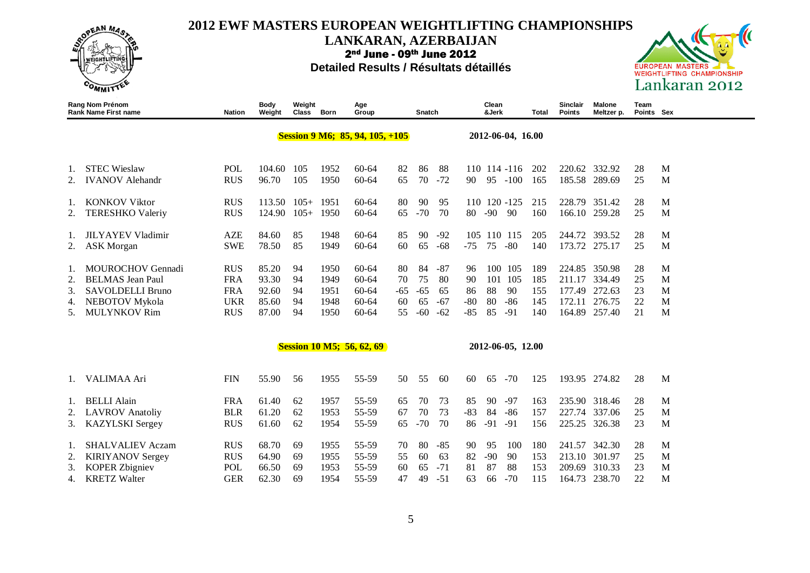

### **LANKARAN, AZERBAIJAN**

2nd June - 09th June 2012



|          | Rang Nom Prénom<br><b>Rank Name First name</b> | <b>Nation</b>            | Body<br>Weight | Weight<br>Class | Born         | Age<br>Group                           |          | Snatch      |                |                | Clean<br>&Jerk |                   | Total      | Sinclair<br><b>Points</b> | Malone<br>Meltzer p.    | Team<br>Points Sex |        |
|----------|------------------------------------------------|--------------------------|----------------|-----------------|--------------|----------------------------------------|----------|-------------|----------------|----------------|----------------|-------------------|------------|---------------------------|-------------------------|--------------------|--------|
|          |                                                |                          |                |                 |              | <b>Session 9 M6; 85, 94, 105, +105</b> |          |             |                |                |                | 2012-06-04, 16.00 |            |                           |                         |                    |        |
| 1.       | <b>STEC Wieslaw</b>                            | POL                      | 104.60         | 105             | 1952         | 60-64                                  | 82       | 86          | 88             |                |                | 110 114 -116      | 202        |                           | 220.62 332.92           | 28                 | M      |
| 2.       | <b>IVANOV Alehandr</b>                         | <b>RUS</b>               | 96.70          | 105             | 1950         | 60-64                                  | 65       | 70          | $-72$          | 90             |                | 95 -100           | 165        |                           | 185.58 289.69           | 25                 | M      |
| 1.       | <b>KONKOV Viktor</b>                           | <b>RUS</b>               | 113.50         | $105+ 1951$     |              | $60 - 64$                              | 80       | 90          | 95             |                |                | 110 120 -125      | 215        |                           | 228.79 351.42           | 28                 | M      |
| 2.       | <b>TERESHKO Valeriy</b>                        | <b>RUS</b>               | 124.90         | $105+$          | 1950         | $60 - 64$                              | 65       | $-70$       | 70             | 80             | $-90$          | -90               | 160        |                           | 166.10 259.28           | 25                 | M      |
| 1.       | <b>JILYAYEV Vladimir</b>                       | <b>AZE</b>               | 84.60          | 85              | 1948         | 60-64                                  | 85       | 90          | $-92$          | 105            |                | 110 115           | 205        |                           | 244.72 393.52           | 28                 | M      |
|          | <b>ASK Morgan</b>                              | <b>SWE</b>               | 78.50          | 85              | 1949         | $60 - 64$                              | 60       | 65          | $-68$          | $-75$          | 75             | $-80$             | 140        |                           | 173.72 275.17           | 25                 | M      |
| 1.       | <b>MOUROCHOV Gennadi</b>                       | <b>RUS</b>               | 85.20          | 94              | 1950         | $60 - 64$                              | 80       | 84          | $-87$          | 96             |                | 100 105           | 189        | 224.85                    | 350.98                  | 28                 | M      |
| 2.       | <b>BELMAS</b> Jean Paul                        | <b>FRA</b>               | 93.30          | 94              | 1949         | $60 - 64$                              | 70       | 75          | -80            | 90             | 101            | 105               | 185        | 211.17                    | 334.49                  | 25                 | M      |
| 3.       | SAVOLDELLI Bruno                               | <b>FRA</b>               | 92.60          | 94              | 1951         | $60 - 64$                              | $-65$    | $-65$       | 65             | 86             | 88             | 90                | 155        | 177.49                    | 272.63                  | 23                 | M      |
| 4.<br>5. | NEBOTOV Mykola<br><b>MULYNKOV Rim</b>          | <b>UKR</b><br><b>RUS</b> | 85.60<br>87.00 | 94<br>94        | 1948<br>1950 | 60-64<br>$60 - 64$                     | 60<br>55 | 65<br>$-60$ | $-67$<br>$-62$ | $-80$<br>$-85$ | 80<br>85       | $-86$<br>$-91$    | 145<br>140 | 172.11                    | 276.75<br>164.89 257.40 | 22<br>21           | M<br>M |
|          |                                                |                          |                |                 |              | <b>Session 10 M5; 56, 62, 69</b>       |          |             |                |                |                | 2012-06-05, 12.00 |            |                           |                         |                    |        |
|          |                                                |                          |                |                 |              |                                        |          |             |                |                |                |                   |            |                           |                         |                    |        |
| 1.       | VALIMAA Ari                                    | <b>FIN</b>               | 55.90          | 56              | 1955         | 55-59                                  | 50       | 55          | 60             | 60             | 65             | $-70$             | 125        |                           | 193.95 274.82           | 28                 | M      |
| 1.       | <b>BELLI Alain</b>                             | <b>FRA</b>               | 61.40          | 62              | 1957         | 55-59                                  | 65       | 70          | 73             | 85             | 90             | $-97$             | 163        |                           | 235.90 318.46           | 28                 | M      |
| 2.       | <b>LAVROV</b> Anatoliy                         | <b>BLR</b>               | 61.20          | 62              | 1953         | 55-59                                  | 67       | 70          | 73             | $-83$          | 84             | $-86$             | 157        | 227.74                    | 337.06                  | 25                 | M      |
| 3.       | <b>KAZYLSKI</b> Sergey                         | <b>RUS</b>               | 61.60          | 62              | 1954         | 55-59                                  | 65       | $-70$       | 70             | 86             | $-91$          | $-91$             | 156        | 225.25                    | 326.38                  | 23                 | M      |
|          | <b>SHALVALIEV Aczam</b>                        | <b>RUS</b>               | 68.70          | 69              | 1955         | 55-59                                  | 70       | 80          | $-85$          | 90             | 95             | 100               | 180        |                           | 241.57 342.30           | 28                 | M      |
| 2.       | <b>KIRIYANOV Sergey</b>                        | <b>RUS</b>               | 64.90          | 69              | 1955         | 55-59                                  | 55       | 60          | 63             | 82             | $-90$          | 90                | 153        | 213.10                    | 301.97                  | 25                 | M      |
| 3.       | <b>KOPER Zbigniev</b>                          | POL                      | 66.50          | 69              | 1953         | 55-59                                  | 60       | 65          | $-71$          | 81             | 87             | 88                | 153        | 209.69                    | 310.33                  | 23                 | M      |
| 4.       | <b>KRETZ Walter</b>                            | <b>GER</b>               | 62.30          | 69              | 1954         | 55-59                                  | 47       | 49          | $-51$          | 63             | 66             | $-70$             | 115        | 164.73                    | 238.70                  | 22                 | M      |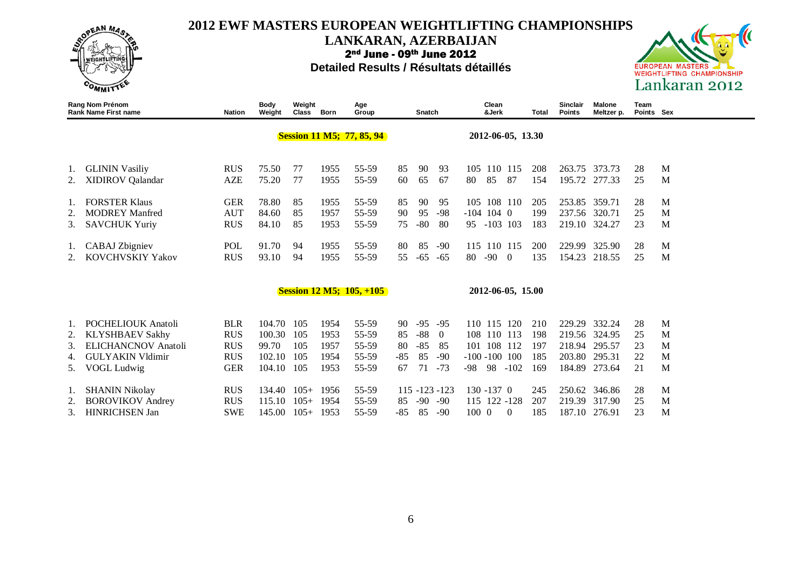

#### **LANKARAN, AZERBAIJAN**

2nd June - 09th June 2012



|                | Rang Nom Prénom<br><b>Rank Name First name</b>                                                                                 | Nation                                                             | <b>Body</b><br>Weight                             | Weight<br>Class            | Born                                 | Age<br>Group                              |                               | Snatch                              |                                                 |                                           | Clean<br>&Jerk             |                                 | Total                           | Sinclair<br><b>Points</b>  | Malone<br>Meltzer p.                                         | Team<br>Points Sex         |                       |  |
|----------------|--------------------------------------------------------------------------------------------------------------------------------|--------------------------------------------------------------------|---------------------------------------------------|----------------------------|--------------------------------------|-------------------------------------------|-------------------------------|-------------------------------------|-------------------------------------------------|-------------------------------------------|----------------------------|---------------------------------|---------------------------------|----------------------------|--------------------------------------------------------------|----------------------------|-----------------------|--|
|                |                                                                                                                                |                                                                    |                                                   |                            |                                      | <b>Session 11 M5; 77, 85, 94</b>          |                               |                                     |                                                 |                                           |                            | 2012-06-05, 13.30               |                                 |                            |                                                              |                            |                       |  |
| 2.             | <b>GLININ Vasiliy</b><br><b>XIDIROV</b> Qalandar                                                                               | <b>RUS</b><br><b>AZE</b>                                           | 75.50<br>75.20                                    | 77<br>77                   | 1955<br>1955                         | 55-59<br>55-59                            | 85<br>60                      | 90<br>65                            | 93<br>67                                        | 80                                        | 105 110 115<br>85          | 87                              | 208<br>154                      |                            | 263.75 373.73<br>195.72 277.33                               | 28<br>25                   | M<br>M                |  |
| 2.<br>3.       | <b>FORSTER Klaus</b><br><b>MODREY Manfred</b><br><b>SAVCHUK Yuriy</b>                                                          | <b>GER</b><br><b>AUT</b><br><b>RUS</b>                             | 78.80<br>84.60<br>84.10                           | 85<br>85<br>85             | 1955<br>1957<br>1953                 | 55-59<br>55-59<br>55-59                   | 85<br>90<br>75                | 90<br>95<br>$-80$                   | 95<br>$-98$<br>80                               | $-104$ 104 0<br>95 -103 103               |                            | 105 108 110                     | 205<br>199<br>183               | 219.10 324.27              | 253.85 359.71<br>237.56 320.71                               | 28<br>25<br>23             | M<br>M<br>M           |  |
| 2.             | CABAJ Zbigniev<br><b>KOVCHVSKIY Yakov</b>                                                                                      | POL<br><b>RUS</b>                                                  | 91.70<br>93.10                                    | 94<br>94                   | 1955<br>1955                         | 55-59<br>55-59                            | 80<br>55                      | 85<br>$-65$                         | -90<br>-65                                      | 80                                        | $-900$                     | 115 110 115                     | 200<br>135                      | 229.99<br>154.23           | 325.90<br>218.55                                             | 28<br>25                   | M<br>M                |  |
|                |                                                                                                                                |                                                                    |                                                   |                            |                                      | <b>Session 12 M5; 105, +105</b>           |                               |                                     |                                                 |                                           |                            | 2012-06-05, 15.00               |                                 |                            |                                                              |                            |                       |  |
| 2.<br>3.<br>4. | <b>POCHELIOUK Anatoli</b><br><b>KLYSHBAEV Sakhy</b><br><b>ELICHANCNOV</b> Anatoli<br><b>GULYAKIN Vldimir</b><br>5. VOGL Ludwig | <b>BLR</b><br><b>RUS</b><br><b>RUS</b><br><b>RUS</b><br><b>GER</b> | 104.70 105<br>100.30<br>99.70<br>102.10<br>104.10 | 105<br>105<br>105<br>105   | 1954<br>1953<br>1957<br>1954<br>1953 | 55-59<br>55-59<br>55-59<br>55-59<br>55-59 | 90<br>85<br>80<br>$-85$<br>67 | $-95$<br>$-88$<br>$-85$<br>85<br>71 | $-95$<br>$\overline{0}$<br>85<br>$-90$<br>$-73$ | 110 115<br>101<br>$-100 - 100$ 100<br>-98 | 108 110 113<br>108<br>-98  | <sup>120</sup><br>112<br>$-102$ | 210<br>198<br>197<br>185<br>169 | 218.94<br>203.80<br>184.89 | 229.29 332.24<br>219.56 324.95<br>295.57<br>295.31<br>273.64 | 28<br>25<br>23<br>22<br>21 | M<br>M<br>M<br>M<br>M |  |
| 2.<br>3.       | <b>SHANIN Nikolay</b><br><b>BOROVIKOV</b> Andrey<br><b>HINRICHSEN Jan</b>                                                      | <b>RUS</b><br><b>RUS</b><br><b>SWE</b>                             | 134.40<br>115.10<br>145.00                        | $105+$<br>$105+$<br>$105+$ | 1956<br>1954<br>1953                 | 55-59<br>55-59<br>55-59                   | 85<br>$-85$                   | $115 - 123 - 123$<br>$-90$<br>85    | $-90$<br>$-90$                                  | 100 0                                     | 130 -137 0<br>115 122 -128 | $\Omega$                        | 245<br>207<br>185               | 219.39<br>187.10           | 250.62 346.86<br>317.90<br>276.91                            | 28<br>25<br>23             | M<br>M<br>M           |  |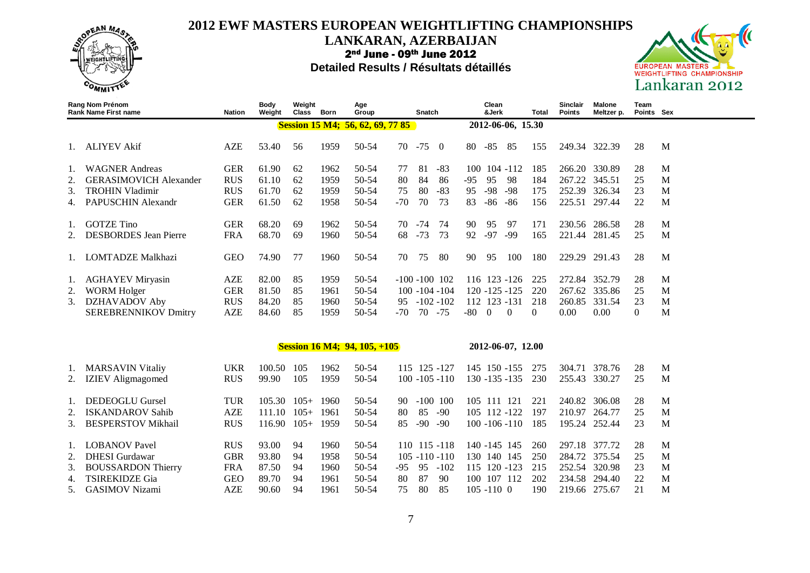

#### **LANKARAN, AZERBAIJAN**

2nd June - 09th June 2012



|    | Rang Nom Prénom<br><b>Rank Name First name</b> | <b>Nation</b> | <b>Body</b><br>Weight | Weight<br>Class | Born | Age<br>Group                            |       | Snatch |                   |       | Clean<br>&Jerk |                   | <b>Total</b> | Sinclair<br><b>Points</b> | Malone<br>Meltzer p. | Team<br>Points Sex |   |
|----|------------------------------------------------|---------------|-----------------------|-----------------|------|-----------------------------------------|-------|--------|-------------------|-------|----------------|-------------------|--------------|---------------------------|----------------------|--------------------|---|
|    |                                                |               |                       |                 |      | <b>Session 15 M4; 56, 62, 69, 77 85</b> |       |        |                   |       |                | 2012-06-06, 15.30 |              |                           |                      |                    |   |
|    | <b>ALIYEV Akif</b>                             | <b>AZE</b>    | 53.40                 | 56              | 1959 | 50-54                                   | 70    | $-75$  | $\Omega$          | 80    | $-85$          | 85                | 155          | 249.34 322.39             |                      | 28                 | M |
| 1. | <b>WAGNER Andreas</b>                          | <b>GER</b>    | 61.90                 | 62              | 1962 | $50-54$                                 | 77    | 81     | $-83$             | 100   |                | $104 - 112$       | 185          | 266.20                    | 330.89               | 28                 | M |
| 2. | <b>GERASIMOVICH Alexander</b>                  | <b>RUS</b>    | 61.10                 | 62              | 1959 | 50-54                                   | 80    | 84     | 86                | $-95$ | 95             | -98               | 184          | 267.22                    | 345.51               | 25                 | M |
| 3. | <b>TROHIN Vladimir</b>                         | <b>RUS</b>    | 61.70                 | 62              | 1959 | $50-54$                                 | 75    | 80     | $-83$             | 95    | $-98$          | $-98$             | 175          | 252.39                    | 326.34               | 23                 | M |
| 4. | PAPUSCHIN Alexandr                             | <b>GER</b>    | 61.50                 | 62              | 1958 | 50-54                                   | $-70$ | 70     | 73                | 83    | $-86$          | -86               | 156          | 225.51                    | 297.44               | 22                 | M |
| 1. | <b>GOTZE Tino</b>                              | <b>GER</b>    | 68.20                 | 69              | 1962 | 50-54                                   | 70    | $-74$  | 74                | 90    | 95             | 97                | 171          | 230.56                    | 286.58               | 28                 | M |
|    | <b>DESBORDES</b> Jean Pierre                   | <b>FRA</b>    | 68.70                 | 69              | 1960 | 50-54                                   | 68    | $-73$  | 73                | 92    | $-97$          | -99               | 165          |                           | 221.44 281.45        | 25                 | M |
|    | 1. LOMTADZE Malkhazi                           | <b>GEO</b>    | 74.90                 | 77              | 1960 | 50-54                                   | 70    | 75     | 80                | 90    | 95             | 100               | 180          | 229.29                    | 291.43               | 28                 | M |
| 1. | <b>AGHAYEV Miryasin</b>                        | <b>AZE</b>    | 82.00                 | 85              | 1959 | 50-54                                   |       |        | $-100 - 100$ 102  |       |                | 116 123 -126      | 225          | 272.84                    | 352.79               | 28                 | M |
| 2. | <b>WORM Holger</b>                             | <b>GER</b>    | 81.50                 | 85              | 1961 | 50-54                                   |       |        | $100 - 104 - 104$ |       |                | $120 - 125 - 125$ | 220          | 267.62                    | 335.86               | 25                 | M |
| 3. | DZHAVADOV Aby                                  | <b>RUS</b>    | 84.20                 | 85              | 1960 | 50-54                                   | 95    |        | $-102 - 102$      | 112   |                | 123 - 131         | 218          | 260.85                    | 331.54               | 23                 | M |
|    | <b>SEREBRENNIKOV Dmitry</b>                    | <b>AZE</b>    | 84.60                 | 85              | 1959 | 50-54                                   | $-70$ |        | 70 - 75           | $-80$ | $\theta$       | $\Omega$          | $\left($     | 0.00                      | 0.00                 | $\overline{0}$     | M |
|    |                                                |               |                       |                 |      |                                         |       |        |                   |       |                |                   |              |                           |                      |                    |   |
|    |                                                |               |                       |                 |      | <b>Session 16 M4; 94, 105, +105</b>     |       |        |                   |       |                | 2012-06-07, 12.00 |              |                           |                      |                    |   |
| 1. | <b>MARSAVIN Vitaliy</b>                        | <b>UKR</b>    | 100.50                | 105             | 1962 | $50-54$                                 |       |        | 115 125 -127      |       |                | 145 150 -155      | 275          | 304.71                    | 378.76               | 28                 | M |
|    | <b>IZIEV</b> Aligmagomed                       | <b>RUS</b>    | 99.90                 | 105             | 1959 | 50-54                                   |       |        | $100 - 105 - 110$ |       |                | $130 - 135 - 135$ | 230          | 255.43                    | 330.27               | 25                 | M |
|    | <b>DEDEOGLU Gursel</b>                         | <b>TUR</b>    | 105.30                | $105+$          | 1960 | 50-54                                   | 90.   |        | $-100$ 100        |       |                | 105 111 121       | 221          | 240.82                    | 306.08               | 28                 | M |
|    | <b>ISKANDAROV Sahib</b>                        | <b>AZE</b>    | 111.10                | $105+$          | 1961 | 50-54                                   | 80    | 85     | $-90$             |       |                | 105 112 -122      | 197          | 210.97                    | 264.77               | 25                 | M |

| 3. BESPERSTOV Mikhail |            | RUS 116.90 105+ 1959 |      |      | 50-54 |          |  | 85 -90 -90 100 -106 -110 185 195.24 252.44 23  |  |      | $\mathbf{M}$   |
|-----------------------|------------|----------------------|------|------|-------|----------|--|------------------------------------------------|--|------|----------------|
| 1. LOBANOV Pavel      | <b>RUS</b> | 93.00 94             |      | 1960 | 50-54 |          |  | 110 115 -118 140 -145 145 260 297.18 377.72    |  | 28   | $\blacksquare$ |
| 2. DHESI Gurdawar     | GBR        | 93.80                | - 94 | 1958 | 50-54 |          |  | 105 -110 -110 130 140 145 250 284.72 375.54 25 |  |      | $\blacksquare$ |
| 3. BOUSSARDON Thierry |            | FRA 87.50 94         |      | 1960 | 50-54 |          |  | -95 95 -102 115 120 -123 215 252.54 320.98     |  | 23   | $\blacksquare$ |
| 4. TSIREKIDZE Gia     | GEO.       | 89.70                | -94  | 1961 | 50-54 | 80 87 90 |  | 100 107 112 202 234.58 294.40                  |  | - 22 | M              |
| 5. GASIMOV Nizami     | AZE.       | 90.60 94             |      | 1961 | 50-54 |          |  | 75 80 85 105 -110 0 190 219.66 275.67          |  | 21   | $_{\rm M}$     |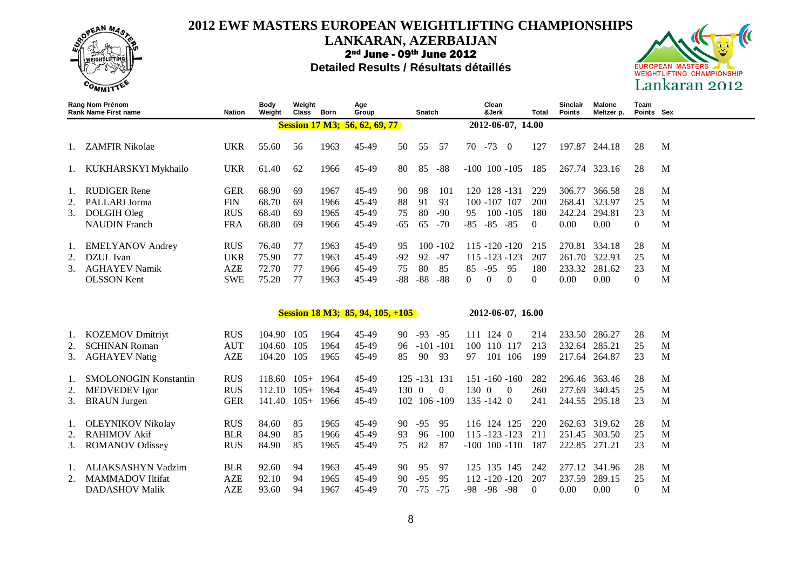

#### **LANKARAN, AZERBAIJAN**

2nd June - 09th June 2012



|                | <b>Rang Nom Prénom</b><br><b>Rank Name First name</b> | Nation     | <b>Body</b><br>Weight | Weight<br>Class | Born | Age<br>Group                            |       | Snatch       |             |                   | Clean<br>&Jerk |                   | Total    | Sinclair<br><b>Points</b> | <b>Malone</b><br>Meltzer p. | Team<br>Points Sex |   |
|----------------|-------------------------------------------------------|------------|-----------------------|-----------------|------|-----------------------------------------|-------|--------------|-------------|-------------------|----------------|-------------------|----------|---------------------------|-----------------------------|--------------------|---|
|                |                                                       |            |                       |                 |      | <b>Session 17 M3; 56, 62, 69, 77</b>    |       |              |             |                   |                | 2012-06-07, 14.00 |          |                           |                             |                    |   |
| $\mathbf{1}$ . | <b>ZAMFIR Nikolae</b>                                 | <b>UKR</b> | 55.60                 | 56              | 1963 | 45-49                                   | 50    | 55           | 57          | 70                | $-73$          | $\overline{0}$    | 127      | 197.87                    | 244.18                      | 28                 | M |
|                | 1. KUKHARSKYI Mykhailo                                | <b>UKR</b> | 61.40                 | 62              | 1966 | 45-49                                   | 80    | 85           | $-88$       | $-100$ 100 $-105$ |                |                   | 185      | 267.74                    | 323.16                      | 28                 | M |
| 1.             | <b>RUDIGER Rene</b>                                   | <b>GER</b> | 68.90                 | 69              | 1967 | 45-49                                   | 90    | 98           | 101         |                   |                | 120 128 -131      | 229      | 306.77                    | 366.58                      | 28                 | M |
| 2.             | PALLARI Jorma                                         | <b>FIN</b> | 68.70                 | 69              | 1966 | 45-49                                   | 88    | 91           | 93          |                   | 100 -107 107   |                   | 200      | 268.41                    | 323.97                      | 25                 | M |
| 3.             | DOLGIH Oleg                                           | <b>RUS</b> | 68.40                 | 69              | 1965 | 45-49                                   | 75    | 80           | $-90$       | 95                |                | $100 - 105$       | 180      | 242.24                    | 294.81                      | 23                 | M |
|                | <b>NAUDIN</b> Franch                                  | <b>FRA</b> | 68.80                 | 69              | 1966 | 45-49                                   | $-65$ | 65           | $-70$       | $-85$             | $-85 - 85$     |                   | $\Omega$ | 0.00                      | 0.00                        | $\Omega$           | M |
| Ι.             | <b>EMELYANOV</b> Andrey                               | <b>RUS</b> | 76.40                 | 77              | 1963 | 45-49                                   | 95    |              | $100 - 102$ |                   |                | $115 - 120 - 120$ | 215      | 270.81                    | 334.18                      | 28                 | M |
| 2.             | DZUL Ivan                                             | <b>UKR</b> | 75.90                 | 77              | 1963 | 45-49                                   | $-92$ | 92           | $-97$       |                   |                | $115 - 123 - 123$ | 207      | 261.70                    | 322.93                      | 25                 | M |
| 3.             | <b>AGHAYEV Namik</b>                                  | <b>AZE</b> | 72.70                 | 77              | 1966 | 45-49                                   | 75    | 80           | 85          | 85                | $-95$          | 95                | 180      | 233.32                    | 281.62                      | 23                 | M |
|                | <b>OLSSON</b> Kent                                    | <b>SWE</b> | 75.20                 | 77              | 1963 | 45-49                                   | $-88$ | $-88$        | $-88$       | $\mathbf{0}$      | $\Omega$       | $\mathbf{0}$      | 0        | 0.00                      | 0.00                        | $\boldsymbol{0}$   | M |
|                |                                                       |            |                       |                 |      | <b>Session 18 M3; 85, 94, 105, +105</b> |       |              |             |                   |                | 2012-06-07, 16.00 |          |                           |                             |                    |   |
|                |                                                       |            |                       |                 |      |                                         |       |              |             |                   |                |                   |          |                           |                             |                    |   |
| 1.             | <b>KOZEMOV Dmitriyt</b>                               | <b>RUS</b> | 104.90                | 105             | 1964 | 45-49                                   | 90    | $-93$        | $-95$       |                   | 111 124 0      |                   | 214      | 233.50                    | 286.27                      | 28                 | M |
| 2.             | <b>SCHINAN Roman</b>                                  | <b>AUT</b> | 104.60                | 105             | 1964 | 45-49                                   | 96    | $-101 - 101$ |             |                   |                | 100 110 117       | 213      | 232.64                    | 285.21                      | 25                 | M |
| 3.             | <b>AGHAYEV Natig</b>                                  | <b>AZE</b> | 104.20                | 105             | 1965 | 45-49                                   | 85    | 90           | 93          | 97                |                | 101 106           | 199      | 217.64 264.87             |                             | 23                 | M |
| 1.             | <b>SMOLONOGIN Konstantin</b>                          | <b>RUS</b> | 118.60                | $105+$          | 1964 | 45-49                                   |       | 125 -131 131 |             |                   |                | $151 - 160 - 160$ | 282      | 296.46                    | 363.46                      | 28                 | M |
|                | <b>MEDVEDEV</b> Igor                                  | <b>RUS</b> | 112.10                | $105+$          | 1964 | 45-49                                   | 130   | $\Omega$     | $\theta$    | 130 0             |                | $\overline{0}$    | 260      | 277.69                    | 340.45                      | 25                 | M |
| 3.             | <b>BRAUN</b> Jurgen                                   | <b>GER</b> | 141.40                | $105+$          | 1966 | 45-49                                   | 102   |              | 106 -109    |                   | $135 - 1420$   |                   | 241      | 244.55                    | 295.18                      | 23                 | M |
| 1.             | OLEYNIKOV Nikolay                                     | <b>RUS</b> | 84.60                 | 85              | 1965 | 45-49                                   | 90    | $-95$        | 95          |                   | 116 124 125    |                   | 220      |                           | 262.63 319.62               | 28                 | M |
| 2.             | <b>RAHIMOV Akif</b>                                   | <b>BLR</b> | 84.90                 | 85              | 1966 | 45-49                                   | 93    | 96           | $-100$      |                   |                | $115 - 123 - 123$ | 211      | 251.45                    | 303.50                      | 25                 | M |
| 3.             | <b>ROMANOV Odissey</b>                                | <b>RUS</b> | 84.90                 | 85              | 1965 | 45-49                                   | 75    | 82           | 87          |                   |                | $-100$ 100 $-110$ | 187      | 222.85 271.21             |                             | 23                 | M |
| Ι.             | ALIAKSASHYN Vadzim                                    | <b>BLR</b> | 92.60                 | 94              | 1963 | 45-49                                   | 90    | 95           | 97          |                   |                | 125 135 145       | 242      |                           | 277.12 341.96               | 28                 | M |
| 2.             | <b>MAMMADOV</b> Iltifat                               | <b>AZE</b> | 92.10                 | 94              | 1965 | 45-49                                   | 90    | $-95$        | 95          |                   |                | $112 - 120 - 120$ | 207      | 237.59                    | 289.15                      | 25                 | M |
|                | <b>DADASHOV Malik</b>                                 | <b>AZE</b> | 93.60                 | 94              | 1967 | 45-49                                   | 70    | $-75$        | $-75$       | -98               | $-98 - 98$     |                   | $\Omega$ | 0.00                      | 0.00                        | $\Omega$           | M |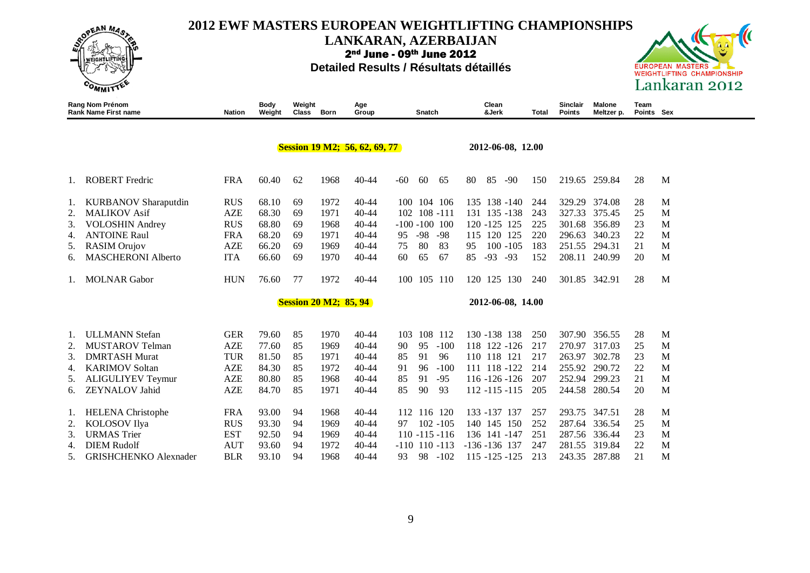

**LANKARAN, AZERBAIJAN**

2nd June - 09th June 2012





|    | Rang Nom Prénom<br><b>Rank Name First name</b> | <b>Nation</b> | Body<br>Weight | Weight<br><b>Class</b> | Born                         | Age<br>Group                         | Snatch               | Clean<br>&Jerk    | Total | Sinclair<br><b>Points</b> | Malone<br>Meltzer p. | Team<br>Points Sex |   |
|----|------------------------------------------------|---------------|----------------|------------------------|------------------------------|--------------------------------------|----------------------|-------------------|-------|---------------------------|----------------------|--------------------|---|
|    |                                                |               |                |                        |                              | <b>Session 19 M2; 56, 62, 69, 77</b> |                      | 2012-06-08, 12.00 |       |                           |                      |                    |   |
|    |                                                |               |                |                        |                              |                                      |                      |                   |       |                           |                      |                    |   |
|    | <b>ROBERT</b> Fredric                          | <b>FRA</b>    | 60.40          | 62                     | 1968                         | $40 - 44$                            | -60<br>60<br>65      | 85<br>$-90$<br>80 | 150   |                           | 219.65 259.84        | 28                 | M |
| 1. | <b>KURBANOV</b> Sharaputdin                    | <b>RUS</b>    | 68.10          | 69                     | 1972                         | $40 - 44$                            | 104 106<br>100       | 135 138 -140      | 244   | 329.29                    | 374.08               | 28                 | M |
| 2. | <b>MALIKOV Asif</b>                            | <b>AZE</b>    | 68.30          | 69                     | 1971                         | $40 - 44$                            | 102 108 -111         | 135 - 138<br>131  | 243   | 327.33                    | 375.45               | 25                 | M |
| 3. | <b>VOLOSHIN Andrey</b>                         | <b>RUS</b>    | 68.80          | 69                     | 1968                         | $40 - 44$                            | $-100 - 100$ 100     | 120 - 125 125     | 225   | 301.68                    | 356.89               | 23                 | M |
| 4. | <b>ANTOINE Raul</b>                            | <b>FRA</b>    | 68.20          | 69                     | 1971                         | $40 - 44$                            | $-98$<br>$-98$<br>95 | 115<br>120<br>125 | 220   | 296.63                    | 340.23               | 22                 | M |
| 5. | RASIM Orujov                                   | <b>AZE</b>    | 66.20          | 69                     | 1969                         | $40 - 44$                            | 80<br>83<br>75       | $100 - 105$<br>95 | 183   | 251.55                    | 294.31               | 21                 | M |
| 6. | <b>MASCHERONI Alberto</b>                      | <b>ITA</b>    | 66.60          | 69                     | 1970                         | $40 - 44$                            | 65<br>67<br>60       | $-93 - 93$<br>85  | 152   | 208.11                    | 240.99               | 20                 | M |
| 1. | <b>MOLNAR</b> Gabor                            | <b>HUN</b>    | 76.60          | 77                     | 1972                         | $40 - 44$                            | 105 110<br>100       | 120 125 130       | 240   | 301.85                    | 342.91               | 28                 | M |
|    |                                                |               |                |                        | <b>Session 20 M2; 85, 94</b> |                                      |                      | 2012-06-08, 14.00 |       |                           |                      |                    |   |
|    |                                                |               |                |                        |                              |                                      |                      |                   |       |                           |                      |                    |   |
| 1. | <b>ULLMANN</b> Stefan                          | <b>GER</b>    | 79.60          | 85                     | 1970                         | $40 - 44$                            | 108 112<br>103       | 130 -138 138      | 250   | 307.90                    | 356.55               | 28                 | M |
| 2. | <b>MUSTAROV Telman</b>                         | <b>AZE</b>    | 77.60          | 85                     | 1969                         | $40 - 44$                            | 95<br>$-100$<br>90   | 118 122 -126      | 217   | 270.97                    | 317.03               | 25                 | M |
| 3. | <b>DMRTASH Murat</b>                           | <b>TUR</b>    | 81.50          | 85                     | 1971                         | $40 - 44$                            | 91<br>96<br>85       | 110 118 121       | 217   | 263.97                    | 302.78               | 23                 | M |
| 4. | <b>KARIMOV Soltan</b>                          | <b>AZE</b>    | 84.30          | 85                     | 1972                         | $40 - 44$                            | 96<br>$-100$<br>91   | 111 118 -122      | 214   | 255.92                    | 290.72               | 22                 | M |
| 5. | <b>ALIGULIYEV Teymur</b>                       | <b>AZE</b>    | 80.80          | 85                     | 1968                         | $40 - 44$                            | 91<br>$-95$<br>85    | $116 - 126 - 126$ | 207   | 252.94                    | 299.23               | 21                 | M |
| 6. | <b>ZEYNALOV Jahid</b>                          | <b>AZE</b>    | 84.70          | 85                     | 1971                         | $40 - 44$                            | 93<br>85<br>90       | $112 - 115 - 115$ | 205   | 244.58                    | 280.54               | 20                 | M |
| 1. | <b>HELENA</b> Christophe                       | <b>FRA</b>    | 93.00          | 94                     | 1968                         | $40 - 44$                            | 112 116 120          | 133 -137 137      | 257   | 293.75                    | 347.51               | 28                 | M |
| 2. | <b>KOLOSOV</b> Ilya                            | <b>RUS</b>    | 93.30          | 94                     | 1969                         | $40 - 44$                            | $102 - 105$<br>97    | 140 145 150       | 252   | 287.64                    | 336.54               | 25                 | M |
| 3. | <b>URMAS</b> Trier                             | <b>EST</b>    | 92.50          | 94                     | 1969                         | $40 - 44$                            | $110 - 115 - 116$    | 136 141 -147      | 251   | 287.56                    | 336.44               | 23                 | M |
| 4. | <b>DIEM Rudolf</b>                             | <b>AUT</b>    | 93.60          | 94                     | 1972                         | $40 - 44$                            | $-110$ 110 $-113$    | $-136 - 136$ 137  | 247   | 281.55                    | 319.84               | 22                 | M |
| 5. | <b>GRISHCHENKO</b> Alexnader                   | <b>BLR</b>    | 93.10          | 94                     | 1968                         | $40 - 44$                            | 98<br>$-102$<br>93   | $115 - 125 - 125$ | 213   | 243.35                    | 287.88               | 21                 | M |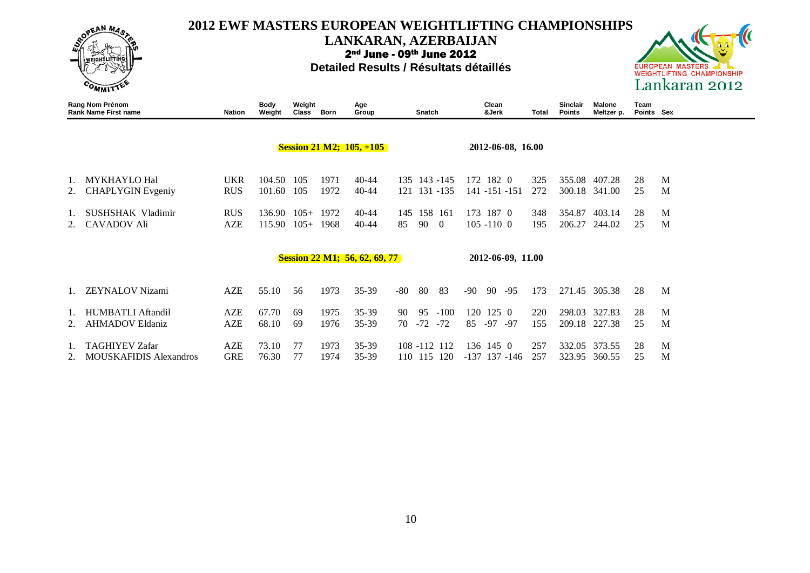

**LANKARAN, AZERBAIJAN**

2nd June - 09th June 2012



|    | Rang Nom Prénom<br><b>Rank Name First name</b>         | Nation                   | <b>Body</b><br>Weight | Weight<br>Class  | Born         | Age<br>Group                         | Snatch                                     | Clean<br>&Jerk                           | Total      | Sinclair<br><b>Points</b> | Malone<br>Meltzer p.    | Team<br>Points Sex |        |
|----|--------------------------------------------------------|--------------------------|-----------------------|------------------|--------------|--------------------------------------|--------------------------------------------|------------------------------------------|------------|---------------------------|-------------------------|--------------------|--------|
|    |                                                        |                          |                       |                  |              | <b>Session 21 M2; 105, +105</b>      |                                            | 2012-06-08, 16.00                        |            |                           |                         |                    |        |
| 2. | <b>MYKHAYLO Hal</b><br><b>CHAPLYGIN</b> Evgeniy        | <b>UKR</b><br><b>RUS</b> | 104.50<br>101.60      | 105<br>105       | 1971<br>1972 | 40-44<br>$40 - 44$                   | 135 143 -145<br>121 131 -135               | 172 182 0<br>141 -151 -151               | 325<br>272 | 355.08                    | 407.28<br>300.18 341.00 | 28<br>25           | M<br>M |
|    | SUSHSHAK Vladimir<br><b>CAVADOV Ali</b>                | <b>RUS</b><br>AZE        | 136.90<br>115.90      | $105+$<br>$105+$ | 1972<br>1968 | 40-44<br>$40 - 44$                   | 158 161<br>145<br>85<br>90<br>$\Omega$     | 173 187 0<br>$105 - 1100$                | 348<br>195 | 354.87<br>206.27          | 403.14<br>244.02        | 28<br>25           | M<br>M |
|    |                                                        |                          |                       |                  |              | <b>Session 22 M1; 56, 62, 69, 77</b> |                                            | 2012-06-09, 11.00                        |            |                           |                         |                    |        |
|    | <b>ZEYNALOV Nizami</b>                                 | AZE                      | 55.10                 | 56               | 1973         | $35 - 39$                            | 80<br>83<br>-80                            | 90<br>$-95$<br>$-90$                     | 173        | 271.45                    | 305.38                  | 28                 | M      |
|    | HUMBATLI Aftandil<br><b>AHMADOV Eldaniz</b>            | <b>AZE</b><br>AZE        | 67.70<br>68.10        | 69<br>69         | 1975<br>1976 | 35-39<br>35-39                       | 95<br>$-100$<br>90<br>$-72$<br>$-72$<br>70 | 120<br>$125 \ \ 0$<br>$-97$<br>85<br>-97 | 220<br>155 | 298.03<br>209.18          | 327.83<br>227.38        | 28<br>25           | M<br>M |
|    | <b>TAGHIYEV Zafar</b><br><b>MOUSKAFIDIS Alexandros</b> | <b>AZE</b><br><b>GRE</b> | 73.10<br>76.30        | 77<br>77         | 1973<br>1974 | $35 - 39$<br>35-39                   | 108 -112 112<br>110 115 120                | 136 145 0<br>$-137$ 137 $-146$           | 257<br>257 | 323.95                    | 332.05 373.55<br>360.55 | 28<br>25           | M<br>M |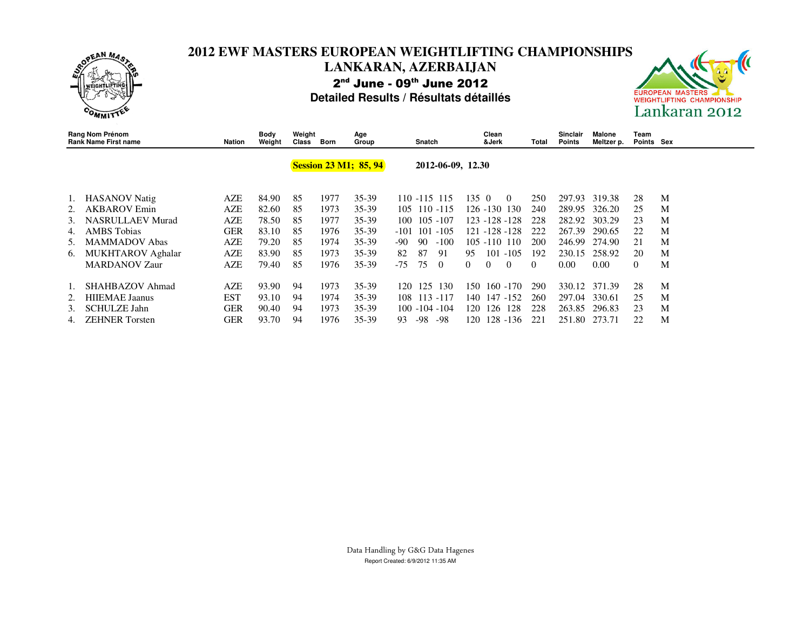

### **2012 EWF MASTERS EUROPEAN WEIGHTLIFTING CHAMPIONSHIPS LANKARAN, AZERBAIJAN** 2<sup>nd</sup> June - 09<sup>th</sup> June 2012 **Detailed Results / Résultats détaillés**



|    | Rang Nom Prénom<br><b>Rank Name First name</b> | <b>Nation</b> | Body<br>Weight | Weight<br>Class | Born | Age<br>Group                 | Snatch                  | Clean<br>&Jerk      | Total      | <b>Sinclair</b><br><b>Points</b> | Malone<br>Meltzer p. | Team<br>Points Sex |   |
|----|------------------------------------------------|---------------|----------------|-----------------|------|------------------------------|-------------------------|---------------------|------------|----------------------------------|----------------------|--------------------|---|
|    |                                                |               |                |                 |      | <b>Session 23 M1; 85, 94</b> | 2012-06-09, 12.30       |                     |            |                                  |                      |                    |   |
|    | <b>HASANOV</b> Natig                           | AZE           | 84.90          | 85              | 1977 | $35 - 39$                    | 110 -115 115            | 1350<br>$\Omega$    | 250        | 297.93                           | 319.38               | 28                 | M |
|    | <b>AKBAROV</b> Emin                            | <b>AZE</b>    | 82.60          | 85              | 1973 | 35-39                        | $110 - 115$<br>105      | 126 -130 130        | 240        | 289.95                           | 326.20               | 25                 | M |
| 3. | <b>NASRULLAEV Murad</b>                        | <b>AZE</b>    | 78.50          | 85              | 1977 | 35-39                        | 105 - 107<br>100        | 123 -128 -128       | 228        | 282.92                           | 303.29               | 23                 | M |
| 4. | <b>AMBS</b> Tobias                             | <b>GER</b>    | 83.10          | 85              | 1976 | 35-39                        | $101 - 105$<br>$-101$   | 121 -128 -128       | 222        | 267.39                           | 290.65               | 22                 | M |
| 5. | <b>MAMMADOV Abas</b>                           | AZE           | 79.20          | 85              | 1974 | 35-39                        | 90<br>$-100$<br>-90     | $105 - 110$ 110     | <b>200</b> | 246.99                           | 274.90               | 21                 | M |
| 6. | MUKHTAROV Aghalar                              | AZE           | 83.90          | 85              | 1973 | 35-39                        | 87<br>82<br>-91         | $101 - 105$<br>95   | 192        | 230.15                           | 258.92               | 20                 | M |
|    | <b>MARDANOV Zaur</b>                           | AZE           | 79.40          | 85              | 1976 | 35-39                        | $-75$<br>75<br>$\theta$ | $\theta$<br>0<br>0  | $\Omega$   | 0.00                             | 0.00                 | $\left($           | M |
|    | SHAHBAZOV Ahmad                                | AZE           | 93.90          | 94              | 1973 | $35 - 39$                    | 125<br>130<br>120       | $160 - 170$<br>150. | 290        | 330.12                           | 371.39               | 28                 | M |
|    | <b>HIIEMAE</b> Jaanus                          | <b>EST</b>    | 93.10          | 94              | 1974 | $35 - 39$                    | 113 -117<br>108.        | 147 -152<br>140-    | 260        | 297.04                           | 330.61               | 25                 | M |
| 3. | <b>SCHULZE Jahn</b>                            | GER           | 90.40          | 94              | 1973 | $35 - 39$                    | $100 - 104 - 104$       | 126<br>128<br>120-  | 228        | 263.85                           | 296.83               | 23                 | M |
| 4. | <b>ZEHNER</b> Torsten                          | GER           | 93.70          | 94              | 1976 | $35 - 39$                    | -98<br>-98<br>93        | 128 -136<br>120     | 221        | 251.80                           | 273.71               | 22                 | M |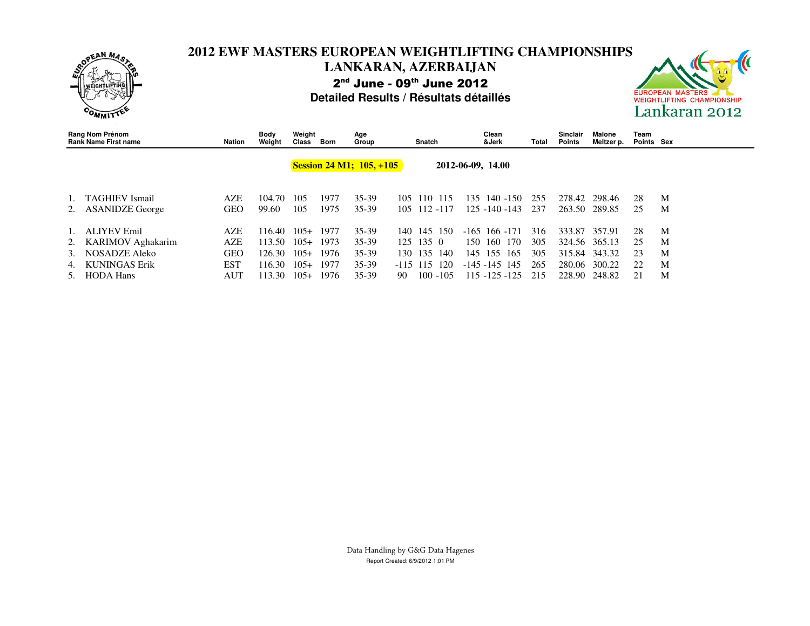

### **2012 EWF MASTERS EUROPEAN WEIGHTLIFTING CHAMPIONSHIPS LANKARAN, AZERBAIJAN** 2<sup>nd</sup> June - 09<sup>th</sup> June 2012 **Detailed Results / Résultats détaillés**



| Rang Nom Prénom<br><b>Rank Name First name</b>             | Nation                   | Body<br>Weight             | Weight<br>Class            | Born                 | Age<br>Group                        |              | Snatch                    |                    |     | Clean<br>&Jerk                              | Total             | <b>Sinclair</b><br>Points         | Malone<br>Meltzer p. | Team<br>Points Sex |             |
|------------------------------------------------------------|--------------------------|----------------------------|----------------------------|----------------------|-------------------------------------|--------------|---------------------------|--------------------|-----|---------------------------------------------|-------------------|-----------------------------------|----------------------|--------------------|-------------|
|                                                            |                          |                            |                            |                      | <b>Session 24 M1; 105, +105</b>     |              |                           |                    |     | 2012-06-09, 14.00                           |                   |                                   |                      |                    |             |
| 1. TAGHIEV Ismail<br>2. ASANIDZE George                    | AZE<br>GEO               | 104.70<br>99.60            | 105<br>105                 | 1977<br>1975         | $35-39$<br>$35 - 39$                | 105          | 110<br>105 112 -117       | 115                | 135 | 140 -150<br>$125 - 140 - 143$               | 255<br>237        | 278.42<br>263.50                  | 298.46<br>289.85     | 28<br>25           | M<br>M      |
| 1. ALIYEV Emil<br>2. KARIMOV Aghakarim<br>3. NOSADZE Aleko | <b>AZE</b><br>AZE<br>GEO | 116.40<br>113.50<br>126.30 | $105+$<br>$105+$<br>$105+$ | 1977<br>1973<br>1976 | $35 - 39$<br>$35 - 39$<br>$35 - 39$ | 140<br>130.  | 145<br>$125$ 135 0<br>135 | -150<br>140        | 150 | $-165$ 166 $-171$<br>160 170<br>145 155 165 | 316<br>305<br>305 | 333.87<br>324.56 365.13<br>315.84 | 357.91<br>343.32     | 28<br>25<br>23     | M<br>M<br>M |
| 4. KUNINGAS Erik<br>5. HODA Hans                           | <b>EST</b><br>AUT        | 116.30<br>113.30           | $105+$<br>$105+$           | 1977<br>1976         | $35 - 39$<br>$35-39$                | $-115$<br>90 | 115                       | 120<br>$100 - 105$ |     | $-145 - 145$ 145<br>115 -125 -125           | 265<br>215        | 280.06<br>228.90                  | 300.22<br>248.82     | 22                 | M<br>M      |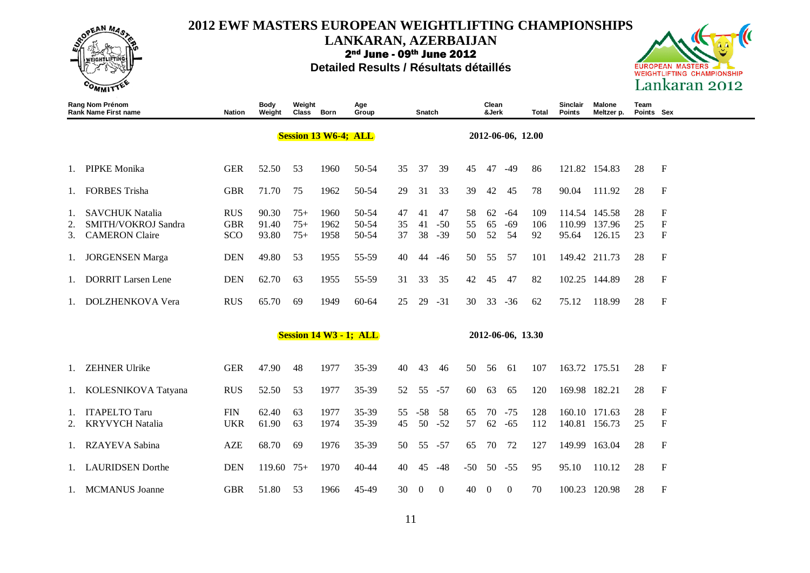

**LANKARAN, AZERBAIJAN**

2nd June - 09th June 2012



|                      | Rang Nom Prénom<br><b>Rank Name First name</b>                                                   | <b>Nation</b>                                 | Body<br>Weight                   | Weight<br>Class Born          |                              | Age<br>Group                     |                      | Snatch               |                             |                      | Clean<br>&Jerk       |                            | Total                   | Sinclair<br><b>Points</b> | Malone<br>Meltzer p.                               | Team<br>Points Sex   |                                                              |
|----------------------|--------------------------------------------------------------------------------------------------|-----------------------------------------------|----------------------------------|-------------------------------|------------------------------|----------------------------------|----------------------|----------------------|-----------------------------|----------------------|----------------------|----------------------------|-------------------------|---------------------------|----------------------------------------------------|----------------------|--------------------------------------------------------------|
|                      |                                                                                                  |                                               |                                  |                               | <b>Session 13 W6-4; ALL</b>  |                                  |                      |                      |                             |                      |                      | 2012-06-06, 12.00          |                         |                           |                                                    |                      |                                                              |
| 1.                   | <b>PIPKE Monika</b>                                                                              | <b>GER</b>                                    | 52.50                            | 53                            | 1960                         | 50-54                            | 35                   | 37                   | 39                          | 45                   | 47                   | $-49$                      | 86                      |                           | 121.82 154.83                                      | 28                   | F                                                            |
| 1.                   | <b>FORBES Trisha</b>                                                                             | <b>GBR</b>                                    | 71.70                            | 75                            | 1962                         | 50-54                            | 29                   | 31                   | 33                          | 39                   | 42                   | 45                         | 78                      | 90.04                     | 111.92                                             | 28                   | F                                                            |
| 1.<br>2.<br>3.<br>1. | <b>SAVCHUK Natalia</b><br>SMITH/VOKROJ Sandra<br><b>CAMERON</b> Claire<br><b>JORGENSEN</b> Marga | <b>RUS</b><br><b>GBR</b><br>SCO<br><b>DEN</b> | 90.30<br>91.40<br>93.80<br>49.80 | $75+$<br>$75+$<br>$75+$<br>53 | 1960<br>1962<br>1958<br>1955 | 50-54<br>50-54<br>50-54<br>55-59 | 47<br>35<br>37<br>40 | 41<br>41<br>38<br>44 | 47<br>$-50$<br>$-39$<br>-46 | 58<br>55<br>50<br>50 | 62<br>65<br>52<br>55 | $-64$<br>$-69$<br>54<br>57 | 109<br>106<br>92<br>101 | 110.99<br>95.64           | 114.54 145.58<br>137.96<br>126.15<br>149.42 211.73 | 28<br>25<br>23<br>28 | $\mathbf F$<br>$\boldsymbol{\mathrm{F}}$<br>$\mathbf F$<br>F |
| 1.                   | <b>DORRIT Larsen Lene</b>                                                                        | <b>DEN</b>                                    | 62.70                            | 63                            | 1955                         | 55-59                            | 31                   | 33                   | 35                          | 42                   | 45                   | 47                         | 82                      |                           | 102.25 144.89                                      | 28                   | F                                                            |
| 1.                   | DOLZHENKOVA Vera                                                                                 | <b>RUS</b>                                    | 65.70                            | 69                            | 1949                         | $60 - 64$                        | 25                   | 29                   | $-31$                       | 30                   | 33                   | $-36$                      | 62                      | 75.12                     | 118.99                                             | 28                   | $\boldsymbol{\mathrm{F}}$                                    |
|                      |                                                                                                  |                                               |                                  |                               |                              | <b>Session 14 W3 - 1; ALL</b>    |                      |                      |                             |                      |                      | 2012-06-06, 13.30          |                         |                           |                                                    |                      |                                                              |
| Ι.                   | <b>ZEHNER Ulrike</b>                                                                             | <b>GER</b>                                    | 47.90                            | 48                            | 1977                         | $35 - 39$                        | 40                   | 43                   | 46                          | 50                   | 56                   | 61                         | 107                     |                           | 163.72 175.51                                      | 28                   | F                                                            |
| 1.                   | KOLESNIKOVA Tatyana                                                                              | <b>RUS</b>                                    | 52.50                            | 53                            | 1977                         | 35-39                            | 52                   | 55                   | $-57$                       | 60                   | 63                   | 65                         | 120                     |                           | 169.98 182.21                                      | 28                   | F                                                            |
| 1.                   | <b>ITAPELTO Taru</b><br><b>KRYVYCH Natalia</b>                                                   | <b>FIN</b><br><b>UKR</b>                      | 62.40<br>61.90                   | 63<br>63                      | 1977<br>1974                 | $35 - 39$<br>35-39               | 55<br>45             | $-58$<br>50          | 58<br>$-52$                 | 65<br>57             | 70<br>62             | $-75$<br>$-65$             | 128<br>112              |                           | 160.10 171.63<br>140.81 156.73                     | 28<br>25             | $\mathbf F$<br>F                                             |
| 1.                   | <b>RZAYEVA Sabina</b>                                                                            | <b>AZE</b>                                    | 68.70                            | 69                            | 1976                         | 35-39                            | 50                   | 55                   | $-57$                       | 65                   | 70                   | 72                         | 127                     | 149.99                    | 163.04                                             | 28                   | F                                                            |
|                      | 1. LAURIDSEN Dorthe                                                                              | <b>DEN</b>                                    | $119.60$ 75+                     |                               | 1970                         | 40-44                            | 40                   | 45                   | $-48$                       | $-50$                |                      | $50 - 55$                  | 95                      | 95.10                     | 110.12                                             | 28                   | F                                                            |
|                      | 1. MCMANUS Joanne                                                                                | <b>GBR</b>                                    | 51.80                            | 53                            | 1966                         | 45-49                            | 30                   | $\boldsymbol{0}$     | $\boldsymbol{0}$            | 40                   | $\boldsymbol{0}$     | $\mathbf{0}$               | 70                      |                           | 100.23 120.98                                      | 28                   | F                                                            |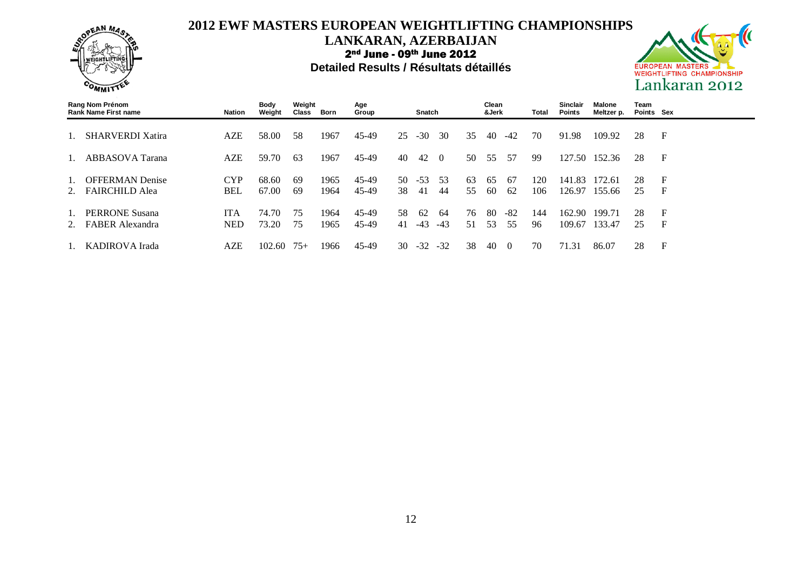

**LANKARAN, AZERBAIJAN**

2nd June - 09th June 2012



| Rang Nom Prénom<br><b>Rank Name First name</b> | Nation                   | Body<br>Weight | Weight<br>Class | Born         | Age<br>Group   |           | <b>Snatch</b> |             |          | Clean<br>&Jerk |                  | Total      | Sinclair<br><b>Points</b> | Malone<br>Meltzer p. | Team<br>Points Sex |                   |
|------------------------------------------------|--------------------------|----------------|-----------------|--------------|----------------|-----------|---------------|-------------|----------|----------------|------------------|------------|---------------------------|----------------------|--------------------|-------------------|
| <b>SHARVERDI Xatira</b>                        | AZE                      | 58.00          | 58              | 1967         | 45-49          | 25        | $-30$         | 30          | 35       | 40             | $-42$            | 70         | 91.98                     | 109.92               | 28                 | F                 |
| ABBASOVA Tarana                                | AZE                      | 59.70          | 63              | 1967         | 45-49          | 40        | 42            | $\Omega$    | 50       | 55             | 57               | -99        | 127.50                    | 152.36               | 28                 | $\mathbf F$       |
| <b>OFFERMAN Denise</b><br>2. FAIRCHILD Alea    | <b>CYP</b><br><b>BEL</b> | 68.60<br>67.00 | -69<br>-69      | 1965<br>1964 | 45-49<br>45-49 | 50<br>38  | $-53$<br>41   | .53<br>-44  | 63<br>55 | 65<br>60       | -67<br>62        | 120<br>106 | 141.83<br>126.97          | 172.61<br>155.66     | 28<br>25           | $\mathbf F$<br>F  |
| <b>PERRONE Susana</b><br>2. FABER Alexandra    | <b>ITA</b><br><b>NED</b> | 74.70<br>73.20 | 75<br>75        | 1964<br>1965 | 45-49<br>45-49 | 58.<br>41 | 62<br>$-43$   | 64<br>$-43$ | 76<br>51 | 80<br>53       | -82<br>55        | 144<br>96  | 162.90<br>109.67          | 199.71<br>133.47     | 28<br>25           | $\mathbf{F}$<br>F |
| KADIROVA Irada                                 | AZE                      | 102.60         | $75+$           | 1966         | 45-49          | 30        | $-32$         | $-32$       | 38       | 40             | $\left( \right)$ | 70         | 71.31                     | 86.07                | 28                 | F                 |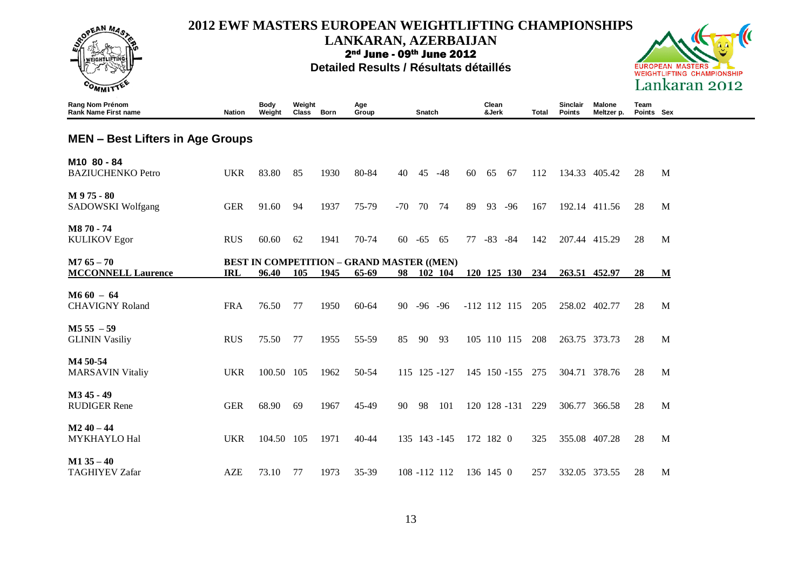

#### **LANKARAN, AZERBAIJAN**

2nd June - 09th June 2012



| Rang Nom Prénom<br><b>Rank Name First name</b>      | <b>Nation</b> | <b>Body</b><br>Weight | Weight<br>Class | <b>Born</b> | Age<br>Group                                              |       | Snatch     |              |    | Clean<br>&Jerk |                | Total | <b>Sinclair</b><br>Points | Malone<br>Meltzer p. | Team<br>Points Sex |   |
|-----------------------------------------------------|---------------|-----------------------|-----------------|-------------|-----------------------------------------------------------|-------|------------|--------------|----|----------------|----------------|-------|---------------------------|----------------------|--------------------|---|
| <b>MEN – Best Lifters in Age Groups</b>             |               |                       |                 |             |                                                           |       |            |              |    |                |                |       |                           |                      |                    |   |
| M <sub>10</sub> 80 - 84<br><b>BAZIUCHENKO Petro</b> | <b>UKR</b>    | 83.80                 | 85              | 1930        | 80-84                                                     | 40    | 45         | $-48$        | 60 | 65             | -67            | 112   |                           | 134.33 405.42        | 28                 | M |
| M 975 - 80<br>SADOWSKI Wolfgang                     | <b>GER</b>    | 91.60                 | 94              | 1937        | 75-79                                                     | $-70$ | 70         | 74           | 89 | 93             | $-96$          | 167   |                           | 192.14 411.56        | 28                 | M |
| M870-74<br><b>KULIKOV Egor</b>                      | <b>RUS</b>    | 60.60                 | 62              | 1941        | 70-74                                                     | 60    | $-65$      | 65           | 77 | $-83 - 84$     |                | 142   |                           | 207.44 415.29        | 28                 | M |
| $M765 - 70$<br><b>MCCONNELL Laurence</b>            | <b>IRL</b>    | 96.40                 | 105             | 1945        | <b>BEST IN COMPETITION - GRAND MASTER ((MEN)</b><br>65-69 | 98    |            | 102 104      |    |                | 120 125 130    | 234   |                           | 263.51 452.97        | 28                 | M |
| $M660 - 64$<br><b>CHAVIGNY Roland</b>               | <b>FRA</b>    | 76.50                 | 77              | 1950        | $60 - 64$                                                 | 90    | $-96 - 96$ |              |    |                | $-112$ 112 115 | 205   |                           | 258.02 402.77        | 28                 | M |
| $M555 - 59$<br><b>GLININ Vasiliy</b>                | <b>RUS</b>    | 75.50                 | 77              | 1955        | 55-59                                                     | 85    | 90         | 93           |    |                | 105 110 115    | 208   |                           | 263.75 373.73        | 28                 | M |
| M4 50-54<br><b>MARSAVIN Vitaliy</b>                 | <b>UKR</b>    | 100.50 105            |                 | 1962        | 50-54                                                     |       |            | 115 125 -127 |    |                | 145 150 -155   | 275   |                           | 304.71 378.76        | 28                 | M |
| M <sub>3</sub> 45 - 49<br><b>RUDIGER Rene</b>       | <b>GER</b>    | 68.90                 | 69              | 1967        | 45-49                                                     | 90    | 98         | 101          |    |                | 120 128 -131   | 229   |                           | 306.77 366.58        | 28                 | M |
| $M240 - 44$<br>MYKHAYLO Hal                         | <b>UKR</b>    | 104.50 105            |                 | 1971        | $40 - 44$                                                 |       |            | 135 143 -145 |    | 172 182 0      |                | 325   |                           | 355.08 407.28        | 28                 | M |
| $M1$ 35 – 40<br><b>TAGHIYEV Zafar</b>               | <b>AZE</b>    | 73.10                 | 77              | 1973        | 35-39                                                     |       |            | 108 -112 112 |    | 136 145 0      |                | 257   |                           | 332.05 373.55        | 28                 | M |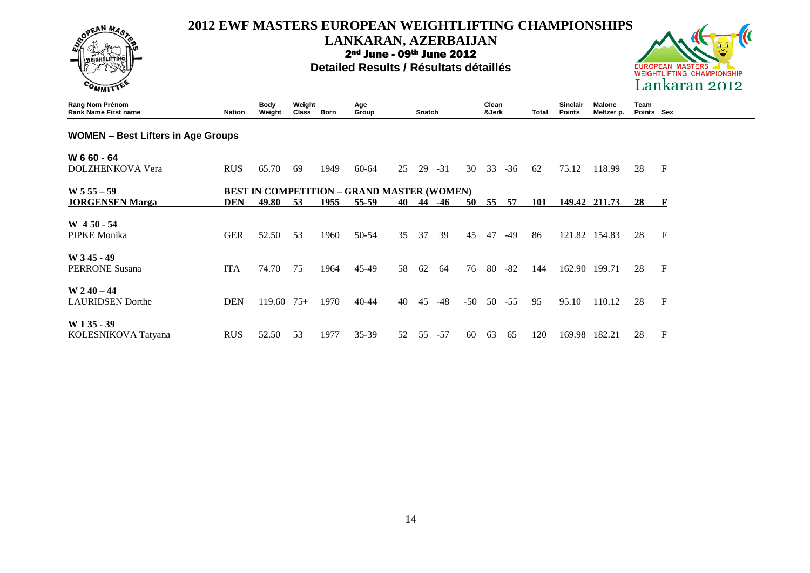

### **LANKARAN, AZERBAIJAN**

2nd June - 09th June 2012



| Rang Nom Prénom<br><b>Rank Name First name</b> | <b>Nation</b> | <b>Body</b><br>Weight | Weight<br>Class | Born | Age<br>Group                                      |    | Snatch |       |       | Clean<br>&Jerk |       | Total | Sinclair<br><b>Points</b> | <b>Malone</b><br>Meltzer p. | Team<br>Points Sex |                           |
|------------------------------------------------|---------------|-----------------------|-----------------|------|---------------------------------------------------|----|--------|-------|-------|----------------|-------|-------|---------------------------|-----------------------------|--------------------|---------------------------|
| <b>WOMEN - Best Lifters in Age Groups</b>      |               |                       |                 |      |                                                   |    |        |       |       |                |       |       |                           |                             |                    |                           |
| W 6 60 - 64                                    |               |                       |                 |      |                                                   |    |        |       |       |                |       |       |                           |                             |                    |                           |
| <b>DOLZHENKOVA Vera</b>                        | <b>RUS</b>    | 65.70                 | 69              | 1949 | 60-64                                             | 25 | 29     | $-31$ | 30    | 33             | $-36$ | 62    | 75.12                     | 118.99                      | 28                 | $\mathbf F$               |
| $W 5 55 - 59$                                  |               |                       |                 |      | <b>BEST IN COMPETITION - GRAND MASTER (WOMEN)</b> |    |        |       |       |                |       |       |                           |                             |                    |                           |
| <b>JORGENSEN Marga</b>                         | <b>DEN</b>    | 49.80                 | 53              | 1955 | 55-59                                             | 40 | 44     | -46   | 50    | 55             | 57    | 101   |                           | 149.42 211.73               | 28                 | $\mathbf{F}$              |
| $W$ 450 - 54                                   |               |                       |                 |      |                                                   |    |        |       |       |                |       |       |                           |                             |                    |                           |
| PIPKE Monika                                   | <b>GER</b>    | 52.50                 | 53              | 1960 | 50-54                                             | 35 | 37     | 39    | 45    | 47             | $-49$ | 86    | 121.82                    | 154.83                      | 28                 | $\mathbf F$               |
| W 345 - 49                                     |               |                       |                 |      |                                                   |    |        |       |       |                |       |       |                           |                             |                    |                           |
| <b>PERRONE Susana</b>                          | <b>ITA</b>    | 74.70                 | 75              | 1964 | $45-49$                                           | 58 | 62     | 64    | 76    | 80             | $-82$ | 144   | 162.90                    | 199.71                      | 28                 | $\mathbf F$               |
| $W 2 40 - 44$                                  |               |                       |                 |      |                                                   |    |        |       |       |                |       |       |                           |                             |                    |                           |
| <b>LAURIDSEN</b> Dorthe                        | <b>DEN</b>    | 119.60                | $75+$           | 1970 | $40 - 44$                                         | 40 | 45     | $-48$ | $-50$ | 50             | $-55$ | 95    | 95.10                     | 110.12                      | 28                 | $\boldsymbol{\mathrm{F}}$ |
| $W135 - 39$                                    |               |                       |                 |      |                                                   |    |        |       |       |                |       |       |                           |                             |                    |                           |
| KOLESNIKOVA Tatyana                            | <b>RUS</b>    | 52.50                 | 53              | 1977 | 35-39                                             | 52 | 55     | $-57$ | 60    | 63             | -65   | 120   | 169.98                    | 182.21                      | 28                 | $\mathbf F$               |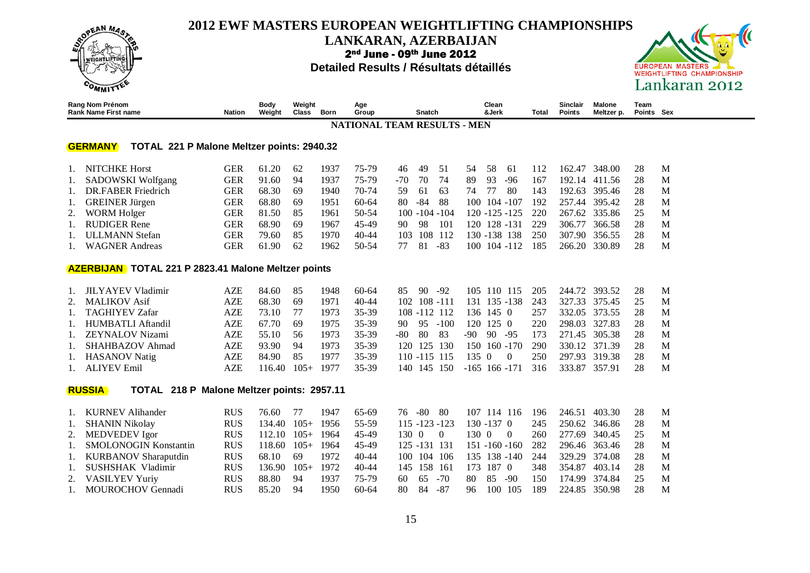

#### **LANKARAN, AZERBAIJAN**

2nd June - 09th June 2012

#### **Detailed Results / Résultats détaillés**



| Rang Nom Prénom<br><b>Rank Name First name</b>               | <b>Nation</b> | Body<br>Weight | Weight<br>Class | Born | Age<br>Group | Snatch                             | Clean<br>&Jerk    | Total | Sinclair<br>Points | Malone<br>Meltzer p. | Team<br>Points Sex |   |
|--------------------------------------------------------------|---------------|----------------|-----------------|------|--------------|------------------------------------|-------------------|-------|--------------------|----------------------|--------------------|---|
|                                                              |               |                |                 |      |              | <b>NATIONAL TEAM RESULTS - MEN</b> |                   |       |                    |                      |                    |   |
| TOTAL 221 P Malone Meltzer points: 2940.32<br><b>GERMANY</b> |               |                |                 |      |              |                                    |                   |       |                    |                      |                    |   |
| NITCHKE Horst                                                | GER           | 61.20          | 62              | 1937 | 75-79        | 46<br>-51<br>-49                   | 58<br>54<br>-61   | 112   | 162.47             | 348.00               | 28                 | M |
| SADOWSKI Wolfgang                                            | <b>GER</b>    | 91.60          | 94              | 1937 | 75-79        | 70<br>74<br>$-70$                  | 93<br>89<br>$-96$ | 167   | 192.14             | 411.56               | 28                 | M |
| DR.FABER Friedrich                                           | GER           | 68.30          | 69              | 1940 | $70-74$      | 59<br>63<br>-61                    | -80<br>74         | 143   | 192.63             | 395.46               | 28                 | M |
| <b>GREINER</b> Jürgen                                        | GER           | 68.80          | 69              | 1951 | $60-64$      | 80.<br>-84<br>-88                  | 104 -107<br>100-  | 192   | 257.44             | 395.42               | 28                 | M |
| <b>WORM Holger</b>                                           | GER           | 81.50          | 85              | 1961 | $50-54$      | $100 - 104 - 104$                  | 120 -125 -125     | 220   | 267.62             | 335.86               | 25                 | M |
| <b>RUDIGER Rene</b>                                          | GER           | 68.90          | 69              | 1967 | 45-49        | -98<br>101<br>90                   | 128 - 131<br>20   | 229   | 306.77             | 366.58               | 28                 | M |
| ULLMANN Stefan                                               | GER           | 79.60          | 85              | 1970 | $40 - 44$    | 108<br>103<br>112                  | 130 -138<br>-138  | 250   | 307.90             | 356.55               | 28                 | M |
| <b>WAGNER Andreas</b>                                        | GER           | 61.90          | 62              | 1962 | 50-54        | 81<br>-83                          | 104 -112<br>100-  | 185   | 266.20             | 330.89               | 28                 | M |

#### **AZERBIJAN TOTAL 221 P 2823.41 Malone Meltzer points**

| 1. JILYAYEV Vladimir | AZE. | 84.60  | 85     | 1948. | 60-64     | 85.             | -90- | -92    |                | 105 110 115       |       | 205 | 244.72 393.52 | -28 | M |
|----------------------|------|--------|--------|-------|-----------|-----------------|------|--------|----------------|-------------------|-------|-----|---------------|-----|---|
| 2. MALIKOV Asif      | AZE. | 68.30  | 69     | 1971  | $40 - 44$ | $102$ 108 -111  |      |        |                | 131 135 -138      |       | 243 | 327.33 375.45 | -25 | M |
| 1. TAGHIYEV Zafar    | AZE. | 73.10  |        | 1973. | 35-39     | $108 - 112$ 112 |      |        |                | 136 145 0         |       | 257 | 332.05 373.55 | 28  | M |
| 1. HUMBATLI Aftandil | AZE. | 67.70  | -69    | 1975  | 35-39     | 90 95           |      | $-100$ |                | 120 125 0         |       | 220 | 298.03 327.83 | 28  | M |
| 1. ZEYNALOV Nizami   | AZE. | 55.10  | 56     | 1973. | 35-39     | -80 80          |      | -83    | $-90 \quad 90$ |                   | $-95$ | 173 | 271.45 305.38 | -28 | M |
| 1. SHAHBAZOV Ahmad   | AZE  | 93.90  | 94     | 1973. | 35-39     | 120 125 130     |      |        |                | 150 160 -170      |       | 290 | 330.12 371.39 | 28  | M |
| 1. HASANOV Natig     | AZE. | 84.90  | 85     | 1977  | 35-39     | $110 - 115$ 115 |      |        | 1350           | $\Omega$          |       | 250 | 297.93 319.38 | -28 | M |
| 1. ALIYEV Emil       | AZE. | 116.40 | $105+$ | 1977  | 35-39     | 140 145 150     |      |        |                | $-165$ 166 $-171$ |       | 316 | 333.87 357.91 | 28  | M |

#### **RUSSIA TOTAL 218 P Malone Meltzer points: 2957.11**

| 1. KURNEV Alihander      | <b>RUS</b> | 76.60           | 77     | 1947  | 65-69     | 76 - 80<br>- 80   | 107 114 116        | 196  | 246.51 403.30 | 28  | M |
|--------------------------|------------|-----------------|--------|-------|-----------|-------------------|--------------------|------|---------------|-----|---|
| 1. SHANIN Nikolay        | <b>RUS</b> | 134.40          | $105+$ | 1956  | 55-59     | $115 - 123 - 123$ | $130 - 1370$       | 245  | 250.62 346.86 | -28 | M |
| 2. MEDVEDEV Igor         | <b>RUS</b> | $112.10$ $105+$ |        | -1964 | 45-49     | 130 0             | 1300<br>$\Omega$   | 260  | 277.69 340.45 | 25  | M |
| 1. SMOLONOGIN Konstantin | <b>RUS</b> | 118.60          | $105+$ | 1964  | 45-49     | 125 -131 131      | $151 - 160 - 160$  | 282  | 296.46 363.46 | -28 | M |
| 1. KURBANOV Sharaputdin  | <b>RUS</b> | 68.10           | -69    | 1972  | $40 - 44$ | 100 104 106       | 135 138 -140       | -244 | 329.29 374.08 | 28  | M |
| 1. SUSHSHAK Vladimir     | <b>RUS</b> | $136.90$ $105+$ |        | 1972  | 40-44     | 145 158 161       | 173 187 0          | 348  | 354.87 403.14 | -28 | M |
| 2. VASILYEV Yuriy        | <b>RUS</b> | 88.80           | 94     | 1937  | 75-79     | $-70$<br>60 65    | $-90$<br>-80<br>85 | 150. | 174.99 374.84 | -25 | M |
| 1. MOUROCHOV Gennadi     | RUS.       | 85.20           | 94     | 1950  | 60-64     | 80 84 -87         | 100 105<br>96      | 189  | 224.85 350.98 | -28 | M |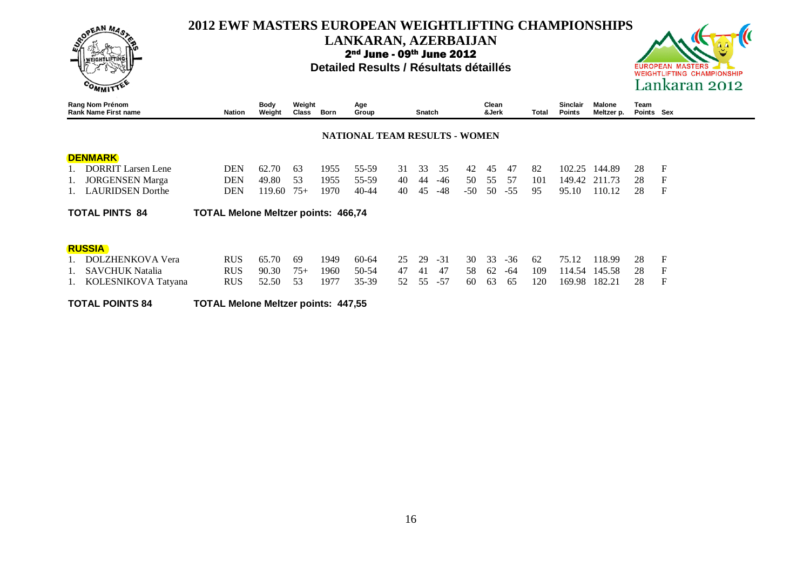

#### **LANKARAN, AZERBAIJAN**

2nd June - 09th June 2012

#### **Detailed Results / Résultats détaillés**



| Rang Nom Prénom<br><b>Rank Name First name</b> | <b>Nation</b>                              | <b>Body</b><br>Weight | Weight<br>Class | Born | Age<br>Group                  |    | Snatch |       |     | Clean<br>&Jerk |       | Total | <b>Sinclair</b><br><b>Points</b> | <b>Malone</b><br>Meltzer p. | Team<br>Points Sex |              |
|------------------------------------------------|--------------------------------------------|-----------------------|-----------------|------|-------------------------------|----|--------|-------|-----|----------------|-------|-------|----------------------------------|-----------------------------|--------------------|--------------|
|                                                |                                            |                       |                 |      | NATIONAL TEAM RESULTS - WOMEN |    |        |       |     |                |       |       |                                  |                             |                    |              |
| <b>DENMARK</b>                                 |                                            |                       |                 |      |                               |    |        |       |     |                |       |       |                                  |                             |                    |              |
| <b>DORRIT Larsen Lene</b>                      | <b>DEN</b>                                 | 62.70                 | 63              | 1955 | 55-59                         | 31 | 33     | 35    | 42  | 45             | 47    | 82    | 102.25                           | 144.89                      | 28                 | F            |
| <b>JORGENSEN</b> Marga                         | <b>DEN</b>                                 | 49.80                 | 53              | 1955 | 55-59                         | 40 | 44     | $-46$ | 50  | 55             | .57   | 101   | 149.42                           | 211.73                      | 28                 | F            |
| <b>LAURIDSEN</b> Dorthe                        | DEN                                        | 119.60                | $75+$           | 1970 | $40 - 44$                     | 40 | 45     | -48   | -50 | 50             | $-55$ | 95    | 95.10                            | 110.12                      | 28                 | $\mathbf{F}$ |
| <b>TOTAL PINTS 84</b>                          | <b>TOTAL Melone Meltzer points: 466,74</b> |                       |                 |      |                               |    |        |       |     |                |       |       |                                  |                             |                    |              |
| <b>RUSSIA</b>                                  |                                            |                       |                 |      |                               |    |        |       |     |                |       |       |                                  |                             |                    |              |
| <b>DOLZHENKOVA Vera</b>                        | <b>RUS</b>                                 | 65.70                 | 69              | 1949 | $60-64$                       | 25 | 29     | $-31$ | 30  | 33             | $-36$ | 62    | 75.12                            | 118.99                      | 28                 | F            |
| <b>SAVCHUK Natalia</b>                         | <b>RUS</b>                                 | 90.30                 | $75+$           | 1960 | 50-54                         | 47 | 41     | 47    | 58  | 62             | -64   | 109   | 114.54                           | 145.58                      | 28                 | F            |
| KOLESNIKOVA Tatyana                            | <b>RUS</b>                                 | 52.50                 | 53              | 1977 | $35-39$                       | 52 | 55     | $-57$ | 60  | 63             | 65    | 120   | 169.98                           | 182.21                      | 28                 | F            |

**TOTAL POINTS 84 TOTAL Melone Meltzer points: 447,55**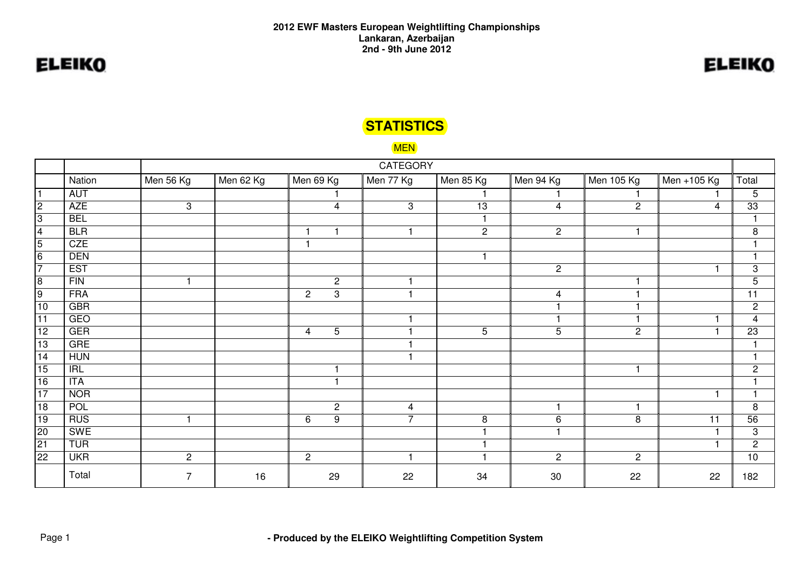## **STATISTICS**

#### MEN

|                 |            |                |           |                                  | <b>CATEGORY</b> |                |                |                |             |                 |
|-----------------|------------|----------------|-----------|----------------------------------|-----------------|----------------|----------------|----------------|-------------|-----------------|
|                 | Nation     | Men 56 Kg      | Men 62 Kg | Men 69 Kg                        | Men 77 Kg       | Men 85 Kg      | Men 94 Kg      | Men 105 Kg     | Men +105 Kg | Total           |
|                 | AUT        |                |           |                                  |                 |                |                |                |             | 5               |
| $\overline{c}$  | <b>AZE</b> | $\mathbf{3}$   |           | $\overline{4}$                   | 3               | 13             | $\overline{4}$ | $\overline{c}$ | 4           | 33              |
| 3               | <b>BEL</b> |                |           |                                  |                 |                |                |                |             |                 |
| 4               | <b>BLR</b> |                |           |                                  |                 | $\overline{2}$ | $\overline{2}$ | -1             |             | 8               |
| $\overline{5}$  | <b>CZE</b> |                |           | $\mathbf{1}$                     |                 |                |                |                |             | $\mathbf 1$     |
| $\overline{6}$  | <b>DEN</b> |                |           |                                  |                 | -1             |                |                |             |                 |
| $\overline{7}$  | <b>EST</b> |                |           |                                  |                 |                | $\mathbf{2}$   |                |             | 3               |
| $\overline{8}$  | FIN        |                |           | $\sqrt{2}$                       |                 |                |                |                |             | $\overline{5}$  |
| 9               | <b>FRA</b> |                |           | 3<br>$\mathbf{2}$                | 1               |                | $\overline{4}$ |                |             | $\overline{11}$ |
| 10              | <b>GBR</b> |                |           |                                  |                 |                |                |                |             | $\sqrt{2}$      |
| $\overline{11}$ | <b>GEO</b> |                |           |                                  |                 |                |                |                |             | $\overline{4}$  |
| 12              | <b>GER</b> |                |           | $\overline{5}$<br>$\overline{4}$ |                 | 5              | 5              | $\overline{c}$ |             | $\overline{23}$ |
| 13              | <b>GRE</b> |                |           |                                  |                 |                |                |                |             |                 |
| $\overline{14}$ | <b>HUN</b> |                |           |                                  |                 |                |                |                |             |                 |
| 15              | IRL        |                |           |                                  |                 |                |                | $\mathbf{1}$   |             | $\mathbf{2}$    |
| $\overline{16}$ | <b>ITA</b> |                |           |                                  |                 |                |                |                |             |                 |
| $\overline{17}$ | <b>NOR</b> |                |           |                                  |                 |                |                |                |             | -1              |
| $\overline{18}$ | <b>POL</b> |                |           | $\sqrt{2}$                       | $\overline{4}$  |                | 1              | -1             |             | 8               |
| 19              | <b>RUS</b> |                |           | $\boldsymbol{9}$<br>6            | $\overline{7}$  | 8              | 6              | 8              | 11          | 56              |
| $\overline{20}$ | SWE        |                |           |                                  |                 |                |                |                |             | 3               |
| 21              | <b>TUR</b> |                |           |                                  |                 |                |                |                |             | $\overline{2}$  |
| $\overline{22}$ | <b>UKR</b> | $\overline{2}$ |           | $\overline{2}$                   | 1               |                | $\overline{2}$ | $\overline{2}$ |             | $\overline{10}$ |
|                 | Total      | $\overline{7}$ | 16        | 29                               | 22              | 34             | 30             | 22             | 22          | 182             |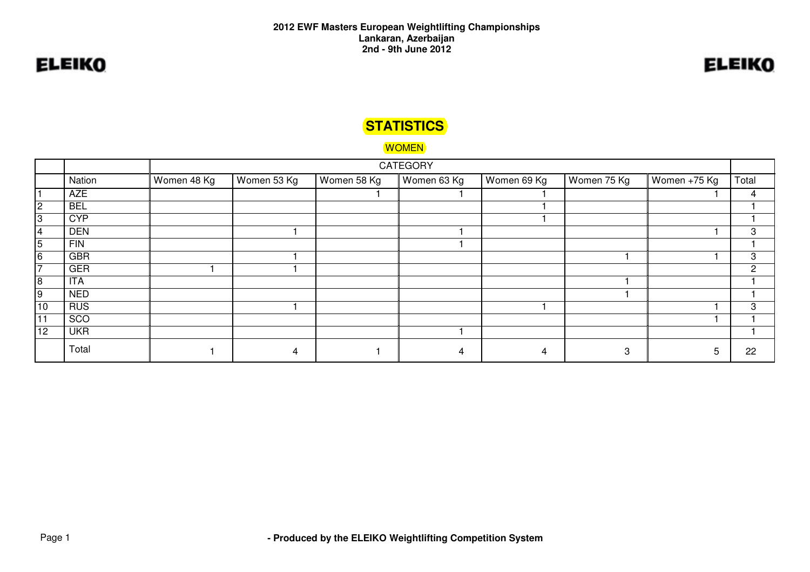## **STATISTICS**

#### WOMEN

|                |            |             |             |             | <b>CATEGORY</b> |             |             |              |       |
|----------------|------------|-------------|-------------|-------------|-----------------|-------------|-------------|--------------|-------|
|                | Nation     | Women 48 Kg | Women 53 Kg | Women 58 Kg | ∥ Women 63 Kg   | Women 69 Kg | Women 75 Kg | Women +75 Kg | Total |
|                | AZE        |             |             |             |                 |             |             |              | 4     |
| $\overline{2}$ | <b>BEL</b> |             |             |             |                 |             |             |              |       |
| 3              | <b>CYP</b> |             |             |             |                 |             |             |              |       |
| 4              | <b>DEN</b> |             |             |             |                 |             |             |              | 3     |
| 5              | <b>FIN</b> |             |             |             |                 |             |             |              |       |
| 6              | <b>GBR</b> |             |             |             |                 |             |             |              | 3     |
| ⇁              | <b>GER</b> |             |             |             |                 |             |             |              | 2     |
| 8              | <b>ITA</b> |             |             |             |                 |             |             |              |       |
| 9              | <b>NED</b> |             |             |             |                 |             |             |              |       |
| 10             | <b>RUS</b> |             |             |             |                 |             |             |              | 3     |
| 11             | SCO        |             |             |             |                 |             |             |              |       |
| 12             | <b>UKR</b> |             |             |             |                 |             |             |              |       |
|                | Total      |             | 4           |             | 4               | 4           | 3           |              | 22    |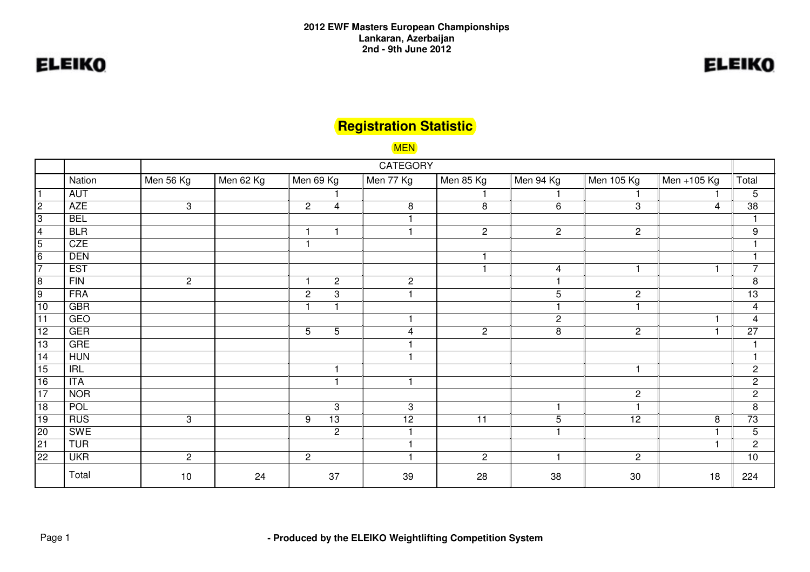# **ELEIKO**

## **Registration Statistic**

MEN

|                         |            | <b>CATEGORY</b> |           |                                  |                      |                |                |                       |             |                         |  |
|-------------------------|------------|-----------------|-----------|----------------------------------|----------------------|----------------|----------------|-----------------------|-------------|-------------------------|--|
|                         | Nation     | Men 56 Kg       | Men 62 Kg | Men 69 Kg                        | Men 77 Kg            | Men 85 Kg      | Men 94 Kg      | Men 105 Kg            | Men +105 Kg | Total                   |  |
|                         | AUT        |                 |           |                                  |                      |                |                |                       |             | 5                       |  |
| $\overline{c}$          | <b>AZE</b> | 3               |           | $\overline{c}$<br>$\overline{4}$ | 8                    | 8              | 6              | 3                     | 4           | $\overline{38}$         |  |
| $\overline{3}$          | <b>BEL</b> |                 |           |                                  |                      |                |                |                       |             |                         |  |
| $\overline{\mathbf{4}}$ | <b>BLR</b> |                 |           | $\overline{1}$<br>$\overline{1}$ | $\overline{1}$       | $\overline{2}$ | $\overline{2}$ | $\overline{2}$        |             | 9                       |  |
| $\overline{5}$          | <b>CZE</b> |                 |           |                                  |                      |                |                |                       |             |                         |  |
| $\overline{6}$          | <b>DEN</b> |                 |           |                                  |                      |                |                |                       |             |                         |  |
| $\overline{7}$          | <b>EST</b> |                 |           |                                  |                      |                | $\overline{4}$ | $\overline{1}$        |             | $\overline{7}$          |  |
| $\overline{8}$          | FIN        | $\mathbf{2}$    |           | $\overline{c}$<br>$\mathbf{1}$   | $\overline{c}$       |                | ٠              |                       |             | 8                       |  |
| $\overline{9}$          | <b>FRA</b> |                 |           | $\overline{c}$<br>3              | $\overline{1}$       |                | $\overline{5}$ | $\mathbf{2}$          |             | 13                      |  |
| $10$                    | <b>GBR</b> |                 |           | н<br>$\overline{1}$              |                      |                | ٠              | 1                     |             | $\overline{\mathbf{4}}$ |  |
| $\overline{11}$         | <b>GEO</b> |                 |           |                                  | 1                    |                | $\overline{c}$ |                       |             | $\overline{4}$          |  |
| 12                      | <b>GER</b> |                 |           | 5<br>5                           | $\overline{4}$       | $\overline{2}$ | 8              | $\mathbf{2}$          |             | $\overline{27}$         |  |
| 13                      | <b>GRE</b> |                 |           |                                  |                      |                |                |                       |             |                         |  |
| $\overline{14}$         | <b>HUN</b> |                 |           |                                  |                      |                |                |                       |             | $\overline{1}$          |  |
| 15                      | IRL        |                 |           |                                  |                      |                |                | $\mathbf{1}$          |             | $\sqrt{2}$              |  |
| 16                      | <b>ITA</b> |                 |           | $\overline{1}$                   | $\blacktriangleleft$ |                |                |                       |             | $\mathbf{2}$            |  |
| $\overline{17}$         | <b>NOR</b> |                 |           |                                  |                      |                |                | $\mathbf{2}^{\prime}$ |             | $\sqrt{2}$              |  |
| 18                      | POL        |                 |           | 3                                | 3                    |                | 1              | ٠                     |             | $\, 8$                  |  |
| 19                      | <b>RUS</b> | 3               |           | $\overline{13}$<br>9             | $\overline{12}$      | 11             | 5              | 12                    | 8           | 73                      |  |
| 20                      | <b>SWE</b> |                 |           | $\overline{c}$                   | 1                    |                | 1              |                       |             | 5                       |  |
| 21                      | <b>TUR</b> |                 |           |                                  | -1                   |                |                |                       |             | $\mathbf{2}$            |  |
| 22                      | <b>UKR</b> | $\overline{2}$  |           | $\overline{2}$                   | $\mathbf{1}$         | $\overline{2}$ | $\mathbf{1}$   | $\mathbf{2}^{\prime}$ |             | $\overline{10}$         |  |
|                         | Total      | 10              | 24        | 37                               | 39                   | 28             | 38             | 30                    | 18          | 224                     |  |